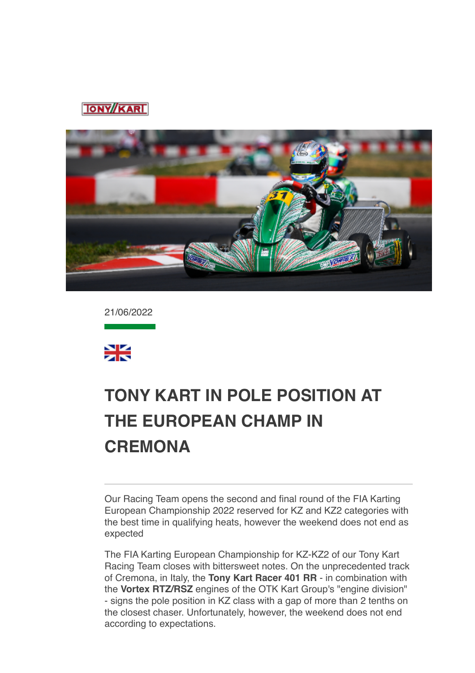



21/06/2022



## **[TONY KART IN POLE POSITION AT](data:text/html;charset=utf-8;base64,%20PGh0bWwgeG1sbnM9Imh0dHA6Ly93d3cudzMub3JnLzE5OTkveGh0bWwiIGNsYXNzPSJhcHBsZS1tYWlsLWltcGxpY2l0LWRhcmstc3VwcG9ydCIgc3R5bGU9Inpvb206IDE7Ij48aGVhZD48c3R5bGUgdHlwZT0idGV4dC9jc3MiPi8qCiAqICBNVUlXZWJEb2N1bWVudC5jc3MKICogIE1haWwKICoKICogIENvcHlyaWdodCAyMDEyIEFwcGxlIEluYy4gQWxsIHJpZ2h0cyByZXNlcnZlZC4gCiAqLwoKKiB7CiAgICAtd2Via2l0LXVzZXItbW9kaWZ5OiBpbml0aWFsICFpbXBvcnRhbnQ7Cn0KCmh0bWwgewogICAgZm9udDogMTIuMDAwMDAwcHggSGVsdmV0aWNhOwp9Cgpib2R5IHsKICAgIG1hcmdpbjogMThweCAyNXB4IDIycHg7CiAgICBwYWRkaW5nOiAwOwogICAgd29yZC13cmFwOiBicmVhay13b3JkOwogICAgd29yZC1icmVhazogYnJlYWstd29yZDsKIH0KCnRhYmxlIHsKICAgIHdvcmQtYnJlYWs6IG5vcm1hbDsKfQoKLyogQXR0YWNobWVudHMgKi8KCmltZy5BcHBsZS1zbWFsbC1pbWFnZSB7CiAgICB3aWR0aDozMjBweDsKfQoKaW1nLkFwcGxlLW1lZGl1bS1pbWFnZSB7CiAgICB3aWR0aDo2NDBweDsKfQoKaW1nLkFwcGxlLWxhcmdlLWltYWdlIHsKICAgIHdpZHRoOjEyODBweDsKfQoKQC13ZWJraXQta2V5ZnJhbWVzIEFwcGxlLWRpc2NyZXRlLXNwaW5uZXIgewogICAgLyogVGhlc2Uga2V5ZnJhbWVzIHRyeSB0byByZXByb2R1Y2UgdGhlIDE2IGRpc2NyZXRlIHN0ZXBzIHNlZW4gaW4gYSBzdGFuZGFyZCBzeXN0ZW0gcHJvZ3Jlc3MgaW5kaWNhdG9yLiAqLwogICAgMCUgewogICAgICAgIGJhY2tncm91bmQtaW1hZ2U6IHVybCgneC1idW5kbGUtcmVzb3VyY2U6SW5kZXRlcm1pbmF0ZVByb2dyZXNzU3Bpbm5lcjEucGRmJyk7CiAgICB9CiAgICA2LjI1MCUgewogICAgICAgIGJhY2tncm91bmQtaW1hZ2U6IHVybCgneC1idW5kbGUtcmVzb3VyY2U6SW5kZXRlcm1pbmF0ZVByb2dyZXNzU3Bpbm5lcjIucGRmJyk7CiAgICB9CiAgICAxMi41MDAlIHsKICAgICAgICBiYWNrZ3JvdW5kLWltYWdlOiB1cmwoJ3gtYnVuZGxlLXJlc291cmNlOkluZGV0ZXJtaW5hdGVQcm9ncmVzc1NwaW5uZXIzLnBkZicpOwogICAgfQogICAgMTguNzUwJSB7CiAgICAgICAgYmFja2dyb3VuZC1pbWFnZTogdXJsKCd4LWJ1bmRsZS1yZXNvdXJjZTpJbmRldGVybWluYXRlUHJvZ3Jlc3NTcGlubmVyNC5wZGYnKTsKICAgIH0KICAgIDI1LjAwMCUgewogICAgICAgIGJhY2tncm91bmQtaW1hZ2U6IHVybCgneC1idW5kbGUtcmVzb3VyY2U6SW5kZXRlcm1pbmF0ZVByb2dyZXNzU3Bpbm5lcjUucGRmJyk7CiAgICB9CiAgICAzMS4yNTAlIHsKICAgICAgICBiYWNrZ3JvdW5kLWltYWdlOiB1cmwoJ3gtYnVuZGxlLXJlc291cmNlOkluZGV0ZXJtaW5hdGVQcm9ncmVzc1NwaW5uZXI2LnBkZicpOwogICAgfQogICAgMzcuNTAwJSB7CiAgICAgICAgYmFja2dyb3VuZC1pbWFnZTogdXJsKCd4LWJ1bmRsZS1yZXNvdXJjZTpJbmRldGVybWluYXRlUHJvZ3Jlc3NTcGlubmVyNy5wZGYnKTsKICAgIH0KICAgIDQzLjc1MCUgewogICAgICAgIGJhY2tncm91bmQtaW1hZ2U6IHVybCgneC1idW5kbGUtcmVzb3VyY2U6SW5kZXRlcm1pbmF0ZVByb2dyZXNzU3Bpbm5lcjgucGRmJyk7CiAgICB9CiAgICA1MC4wMDAlIHsKICAgICAgICBiYWNrZ3JvdW5kLWltYWdlOiB1cmwoJ3gtYnVuZGxlLXJlc291cmNlOkluZGV0ZXJtaW5hdGVQcm9ncmVzc1NwaW5uZXI5LnBkZicpOwogICAgfQogICAgNTYuMjUwJSB7CiAgICAgICAgYmFja2dyb3VuZC1pbWFnZTogdXJsKCd4LWJ1bmRsZS1yZXNvdXJjZTpJbmRldGVybWluYXRlUHJvZ3Jlc3NTcGlubmVyMTAucGRmJyk7CiAgICB9CiAgICA2Mi41MDAlIHsKICAgICAgICBiYWNrZ3JvdW5kLWltYWdlOiB1cmwoJ3gtYnVuZGxlLXJlc291cmNlOkluZGV0ZXJtaW5hdGVQcm9ncmVzc1NwaW5uZXIxMS5wZGYnKTsKICAgIH0KICAgIDY4Ljc1MCUgewogICAgICAgIGJhY2tncm91bmQtaW1hZ2U6IHVybCgneC1idW5kbGUtcmVzb3VyY2U6SW5kZXRlcm1pbmF0ZVByb2dyZXNzU3Bpbm5lcjEyLnBkZicpOwogICAgfQogICAgNzUuMDAwJSB7CiAgICAgICAgYmFja2dyb3VuZC1pbWFnZTogdXJsKCd4LWJ1bmRsZS1yZXNvdXJjZTpJbmRldGVybWluYXRlUHJvZ3Jlc3NTcGlubmVyMTMucGRmJyk7CiAgICB9CiAgICA4MS4yNTAlIHsKICAgICAgICBiYWNrZ3JvdW5kLWltYWdlOiB1cmwoJ3gtYnVuZGxlLXJlc291cmNlOkluZGV0ZXJtaW5hdGVQcm9ncmVzc1NwaW5uZXIxNC5wZGYnKTsKICAgIH0KICAgIDg3LjUwMCUgewogICAgICAgIGJhY2tncm91bmQtaW1hZ2U6IHVybCgneC1idW5kbGUtcmVzb3VyY2U6SW5kZXRlcm1pbmF0ZVByb2dyZXNzU3Bpbm5lcjE1LnBkZicpOwogICAgfQogICAgOTMuNzUwJSB7CiAgICAgICAgYmFja2dyb3VuZC1pbWFnZTogdXJsKCd4LWJ1bmRsZS1yZXNvdXJjZTpJbmRldGVybWluYXRlUHJvZ3Jlc3NTcGlubmVyMTYucGRmJyk7CiAgICB9CiAgICAxMDAlIHsKICAgICAgICBiYWNrZ3JvdW5kLWltYWdlOiB1cmwoJ3gtYnVuZGxlLXJlc291cmNlOkluZGV0ZXJtaW5hdGVQcm9ncmVzc1NwaW5uZXIxLnBkZicpOwogICAgfQp9CgpkaXYuQXBwbGUtaW5kZXRlcm1pbmF0ZS1wcm9ncmVzcy1zcGlubmVyIHsKICAgIHdpZHRoOiAxNnB4OwogICAgaGVpZ2h0OiAxNnB4OwogICAgYmFja2dyb3VuZC1pbWFnZTogdXJsKCd4LWJ1bmRsZS1yZXNvdXJjZTpJbmRldGVybWluYXRlUHJvZ3Jlc3NTcGlubmVyMS5wZGYnKTsKICAgIGJhY2tncm91bmQtcmVwZWF0OiBuby1yZXBlYXQ7CiAgICBiYWNrZ3JvdW5kLXNpemU6IDEwMCUgMTAwJTsKICAgIC13ZWJraXQtYW5pbWF0aW9uLW5hbWU6IEFwcGxlLWRpc2NyZXRlLXNwaW5uZXI7CiAgICAtd2Via2l0LWFuaW1hdGlvbi1kdXJhdGlvbjogMXM7CiAgICAtd2Via2l0LWFuaW1hdGlvbi1pdGVyYXRpb24tY291bnQ6IGluZmluaXRlOwogICAgLXdlYmtpdC1hbmltYXRpb24tdGltaW5nLWZ1bmN0aW9uOiBzdGVwLXN0YXJ0Owp9CgovKiBMaXN0IFN0eWxlcyAqLwoKdWwuQXBwbGUtZGFzaC1saXN0LCB1bC5BcHBsZS1kYXNoLWxpc3QgdWwgewogICAgbGlzdC1zdHlsZS10eXBlOiBub25lOwp9CiAgICAKdWwuQXBwbGUtZGFzaC1saXN0IGxpOmJlZm9yZSB7CiAgICBjb250ZW50OiAiXDIwMTMiOwogICAgcG9zaXRpb246IGFic29sdXRlOwogICAgbWFyZ2luOiAwIC0xLjI1ZW07Cn0KCi8qIE9yZGVyZWQgTGlzdHM6IFN1cHBvcnQgOSBkZWVwLCBsaWtlIFBhZ2VzLCB0aGVuIGZhbGwgYmFjayB0byBkYXNoZXMgKi8Kb2wsIG9sIG9sIG9sIG9sLCBvbCBvbCBvbCBvbCBvbCBvbCBvbCB7CiAgICBsaXN0LXN0eWxlLXR5cGU6IGRlY2ltYWw7Cn0KCm9sIG9sLCBvbCBvbCBvbCBvbCBvbCwgb2wgb2wgb2wgb2wgb2wgb2wgb2wgb2wgewogICAgbGlzdC1zdHlsZS10eXBlOiBsb3dlci1hbHBoYTsKfQoKb2wgb2wgb2wsIG9sIG9sIG9sIG9sIG9sIG9sLCBvbCBvbCBvbCBvbCBvbCBvbCBvbCBvbCBvbCB7CiAgICBsaXN0LXN0eWxlLXR5cGU6IGxvd2VyLXJvbWFuOwp9CgpvbCBvbCBvbCBvbCBvbCBvbCBvbCBvbCBvbCBvbCB7CiAgICBsaXN0LXN0eWxlLXR5cGU6IG5vbmU7Cn0KCm9sIG9sIG9sIG9sIG9sIG9sIG9sIG9sIG9sIG9sIGxpOmJlZm9yZSB7CiAgICBjb250ZW50OiAiXDIwMTMiOwogICAgcG9zaXRpb246IGFic29sdXRlOwogICAgLXdlYmtpdC1tYXJnaW4tc3RhcnQ6IC0xLjI1ZW07Cn0KCi8qIE1haWwtc3BlY2lmaWMgU3R5bGVzICovCgphLngtYXBwbGUtbWFpbC1zZWUtbW9yZSwgYS54LWFwcGxlLW1haWwtc2VlLW1vcmUtZnJvbSB7CiAgICBmb250LXNpemU6IDEwcHg7CiAgICBmb250LWZhbWlseTogSGVsdmV0aWNhOwogICAgdGV4dC1kZWNvcmF0aW9uOiBub25lOwogICAgY29sb3I6IC1hcHBsZS1zeXN0ZW0tYmx1ZTsKICAgIC1hcHBsZS1jb2xvci1maWx0ZXI6IG5vbmU7Cn0KCmEueC1hcHBsZS1tYWlsLXNlZS1tb3JlIHsKICAgIGZvbnQtc2l6ZTogMTFweDsKICAgIGZvbnQtd2VpZ2h0OiBib2xkOwp9Cgpib2R5LkFwcGxlUGxhaW5UZXh0Qm9keSB7CiAgICAtd2Via2l0LW5ic3AtbW9kZTogc3BhY2U7CiAgICBmb250LXNpemU6IGluaGVyaXRweDsKICAgIGZvbnQtZmFtaWx5OiBpbmhlcml0Owp9Cgpib2R5LlNpbmdsZXRvbiB7CiAgICBtYXJnaW4tbGVmdDogMzZweDsKfQoKLngtYXBwbGUtbWFpbGRyb3BiYW5uZXIgewogICAgZGlzcGxheTogbm9uZTsKfQoKYmxvY2txdW90ZVt0eXBlPWNpdGVdIHsKICAgIHBhZGRpbmctbGVmdDogOHB4OwogICAgbWFyZ2luOiAwOwogICAgYm9yZGVyLWxlZnQtd2lkdGg6IDJweDsKICAgIGJvcmRlci1sZWZ0LXN0eWxlOiBzb2xpZDsKICAgIGJvcmRlci1sZWZ0LWNvbG9yOiByZ2JhKDg4LCA4NiwgMjE0LCAyNTUpOwogICAgY29sb3I6IHJnYmEoODgsIDg2LCAyMTQsIDI1NSk7Cn0KCmJsb2NrcXVvdGVbdHlwZT1jaXRlXSBibG9ja3F1b3RlW3R5cGU9Y2l0ZV0gewogICAgYm9yZGVyLWxlZnQtd2lkdGg6IDJweDsKICAgIGJvcmRlci1sZWZ0LXN0eWxlOiBzb2xpZDsKICAgIGJvcmRlci1sZWZ0LWNvbG9yOiByZ2JhKDAsIDE3NSwgMjA1LCAyNTUpOwogICAgY29sb3I6IHJnYmEoMCwgMTc1LCAyMDUsIDI1NSk7Cn0KCmJsb2NrcXVvdGVbdHlwZT1jaXRlXSBibG9ja3F1b3RlW3R5cGU9Y2l0ZV0gYmxvY2txdW90ZVt0eXBlPWNpdGVdIHsKICAgIGJvcmRlci1sZWZ0LXdpZHRoOiAycHg7CiAgICBib3JkZXItbGVmdC1zdHlsZTogc29saWQ7CiAgICBib3JkZXItbGVmdC1jb2xvcjogcmdiYSgxOCwgMTkyLCAxNCwgMjU1KTsKICAgIGNvbG9yOiByZ2JhKDE4LCAxOTIsIDE0LCAyNTUpOwp9CgppbWcuQXBwbGUtd2ViLWF0dGFjaG1lbnQgewogICAgdmVydGljYWwtYWxpZ246IHRvcCAhaW1wb3J0YW50OwogICAgbWF4LXdpZHRoOiAxMDAlICFpbXBvcnRhbnQ7Cn0KCnZpZGVvLkFwcGxlLXdlYi1hdHRhY2htZW50IHsKICAgIG1heC13aWR0aDogMTAwJSAhaW1wb3J0YW50Owp9CgppbWcuQXBwbGUtZWRnZS10by1lZGdlLXZpc3VhbC1tZWRpYSwgdmlkZW8uQXBwbGUtZWRnZS10by1lZGdlLXZpc3VhbC1tZWRpYSB7CiAgICBkaXNwbGF5OiBibG9jazsKICAgIG1heC13aWR0aDogY2FsYygxMDAlICsgNTBweCkgIWltcG9ydGFudDsKICAgIG1hcmdpbjogMCAtMjVweDsKfQoKaW1nLkFwcGxlLWVkZ2UtdG8tZWRnZS12aXN1YWwtbWVkaWEuU2luZ2xldG9uLCB2aWRlby5BcHBsZS1lZGdlLXRvLWVkZ2UtdmlzdWFsLW1lZGlhLlNpbmdsZXRvbiB7CiAgICBkaXNwbGF5OiBibG9jazsKICAgIG1heC13aWR0aDogY2FsYygxMDAlICsgNjFweCkgIWltcG9ydGFudDsKICAgIG1hcmdpbjogMCAtMjVweCAwIC0zNnB4Owp9CgoKLyogTWVkaWEgUXVlcnkgT3ZlcnJpZGVzIChMZWF2ZSBhdCBib3R0b20pICovCgpAbWVkaWEgc2NyZWVuIGFuZCAocHJlZmVycy1jb2xvci1zY2hlbWU6IGRhcmspIHsKICAgIC8qIEltcGxpY2l0IChjb2xvci1maWx0ZXJlZCkgZGFyayBtb2RlICovCiAgICA6cm9vdC5hcHBsZS1tYWlsLWltcGxpY2l0LWRhcmstc3VwcG9ydCB7CiAgICAgICAgLWFwcGxlLWNvbG9yLWZpbHRlcjogYXBwbGUtaW52ZXJ0LWxpZ2h0bmVzcygpOwogICAgICAgIC0tcXVvdGUtYmFyLWNvbG9yLWxldmVsLTE6IC1hcHBsZS1zeXN0ZW0tcHVycGxlOwogICAgICAgIC0tcXVvdGUtdGV4dC1jb2xvci1sZXZlbC0xOiAtYXBwbGUtc3lzdGVtLXB1cnBsZTsKICAgICAgICAtLXF1b3RlLWJhci1jb2xvci1sZXZlbC0yOiByZ2JhKDAsIDE3NSwgMjA1LCAyNTUpOwogICAgICAgIC0tcXVvdGUtdGV4dC1jb2xvci1sZXZlbC0yOiByZ2JhKDAsIDE3NSwgMjA1LCAyNTUpOwogICAgICAgIC0tcXVvdGUtYmFyLWNvbG9yLWxldmVsLTM6IHJnYmEoMTgsIDE5MiwgMTQsIDI1NSk7CiAgICAgICAgLS1xdW90ZS10ZXh0LWNvbG9yLWxldmVsLTM6IHJnYmEoMTgsIDE5MiwgMTQsIDI1NSk7CiAgICB9CgogICAgLyogRXhwbGljaXQgKGRlY2xhcmVkKSBkYXJrIG1vZGUgKi8KICAgIDpyb290Om5vdCguYXBwbGUtbWFpbC1pbXBsaWNpdC1kYXJrLXN1cHBvcnQpIHsKICAgICAgICAtLXF1b3RlLWJhci1jb2xvci1sZXZlbC0xOiAtYXBwbGUtc3lzdGVtLXB1cnBsZTsKICAgICAgICAtLXF1b3RlLXRleHQtY29sb3ItbGV2ZWwtMTogLWFwcGxlLXN5c3RlbS1wdXJwbGU7CiAgICAgICAgLS1xdW90ZS1iYXItY29sb3ItbGV2ZWwtMjogcmdiYSgwLCAyMDAsIDI1MCwgMjU1KTsKICAgICAgICAtLXF1b3RlLXRleHQtY29sb3ItbGV2ZWwtMjogcmdiYSgwLCAyMDAsIDI1MCwgMjU1KTsKICAgICAgICAtLXF1b3RlLWJhci1jb2xvci1sZXZlbC0zOiByZ2JhKDg3LCAyMTcsIDExOSwgMjU1KTsKICAgICAgICAtLXF1b3RlLXRleHQtY29sb3ItbGV2ZWwtMzogcmdiYSg4NywgMjE3LCAxMTksIDI1NSk7CiAgICB9CgogICAgYmxvY2txdW90ZVt0eXBlPWNpdGVdIHsKICAgICAgICBib3JkZXItbGVmdC1jb2xvcjogdmFyKC0tcXVvdGUtYmFyLWNvbG9yLWxldmVsLTEpOwogICAgICAgIGNvbG9yOiB2YXIoLS1xdW90ZS10ZXh0LWNvbG9yLWxldmVsLTEpOwogICAgfQoKICAgIGJsb2NrcXVvdGVbdHlwZT1jaXRlXSBibG9ja3F1b3RlW3R5cGU9Y2l0ZV0gewogICAgICAgIGJvcmRlci1sZWZ0LWNvbG9yOiB2YXIoLS1xdW90ZS1iYXItY29sb3ItbGV2ZWwtMik7CiAgICAgICAgY29sb3I6IHZhcigtLXF1b3RlLXRleHQtY29sb3ItbGV2ZWwtMik7CiAgICB9CgogICAgYmxvY2txdW90ZVt0eXBlPWNpdGVdIGJsb2NrcXVvdGVbdHlwZT1jaXRlXSBibG9ja3F1b3RlW3R5cGU9Y2l0ZV0gewogICAgICAgIGJvcmRlci1sZWZ0LWNvbG9yOiB2YXIoLS1xdW90ZS1iYXItY29sb3ItbGV2ZWwtMyk7CiAgICAgICAgY29sb3I6IHZhcigtLXF1b3RlLXRleHQtY29sb3ItbGV2ZWwtMyk7CiAgICB9Cn0KCi8qIFByaW50IFN0eWxlcyAqLwoKQG1lZGlhIHByaW50IHsKICAgIGJvZHkgewogICAgICAgIGZvbnQtc2l6ZTogODAlOwogICAgICAgIHBhZGRpbmc6IDA7CiAgICAgICAgbWFyZ2luOiAwOwogICAgfQp9Ci5NYWlsT3V0bGluZSB7IG1hcmdpbi10b3A6MDsgbWFyZ2luLWJvdHRvbTowOyB9Cjwvc3R5bGU+CgkJPG1ldGEgaHR0cC1lcXVpdj0iQ29udGVudC1UeXBlIiBjb250ZW50PSJ0ZXh0L2h0bWw7IGNoYXJzZXQ9dXRmLTgiPgoJCTx0aXRsZT5UT05ZS0FSVDwvdGl0bGU+Cgk8L2hlYWQ+Cgk8Ym9keSBiZ2NvbG9yPSIjZmZmZmZmIiBjbGFzcz0iU2luZ2xldG9uIj4KCQk8c3R5bGU+CgkJCWJvZHkgeyBtYXJnaW46MHB4OyB9CgkJPC9zdHlsZT4KCgkJPHRhYmxlIHdpZHRoPSIxMDAlIiBib3JkZXI9IjAiIGNlbGxzcGFjaW5nPSIwIiBjZWxscGFkZGluZz0iMCIgYmdjb2xvcj0iI2ZmZmZmZiI+CgkJCTx0Ym9keT48dHI+CgkJCQk8dGQgYWxpZ249ImNlbnRlciI+PC90ZD4KCQkJPC90cj4KCQkJPHRyPgoJCQkJPHRkPgoJCQkJCTx0YWJsZSB3aWR0aD0iNjAwIiBib3JkZXI9IjAiIGNlbGxzcGFjaW5nPSIwIiBjZWxscGFkZGluZz0iMCIgYmdjb2xvcj0iI0ZGRkZGRiIgYWxpZ249ImNlbnRlciI+CgkJCQkJCTx0Ym9keT48dHI+CgkJCQkJCQk8dGQgYmdjb2xvcj0iIzAwOGIzNSI+CgkJCQkJCQkJPCEtLSBoZWFkZXIgLS0+CgkJCQkJCQkJPHRhYmxlIGJvcmRlcj0iMCIgd2lkdGg9IjYwMCIgaGVpZ2h0PSI2MCIgY2VsbHNwYWNpbmc9IjAiIGNlbGxwYWRkaW5nPSIwIiBhbGlnbj0iY2VudGVyIj4KCQkJCQkJCQkJPHRib2R5Pjx0cj4KCQkJCQkJCQkJCTx0ZCB2YWxpZ249InRvcCI+CgkJCQkJCQkJCQkJPHRhYmxlIGJvcmRlcj0iMCIgY2VsbHBhZGRpbmc9IjAiIGNlbGxzcGFjaW5nPSIwIiBhbGlnbj0iY2VudGVyIiB3aWR0aD0iNjAwIiBiYWNrZ3JvdW5kPSIjMDA4ZDM2Ij4KCQkJCQkJCQkJCQkJPHRib2R5Pjx0cj4KCQkJCQkJCQkJCQkJCTx0ZCB2YWxpZ249Im1pZGRsZSIgc3R5bGU9InBhZGRpbmctbGVmdDoyMHB4Ij4KCQkJCQkJCQkJCQkJCQk8YSBocmVmPSIjIj48aW1nIHNyYz0iaHR0cDovL25ld3NsZXR0ZXIudG9ueWthcnQuY29tL2ltYWdlcy90b255a2FydC9sb2dvLnBuZyIgd2lkdGg9IjExMSIgaGVpZ2h0PSI2OCIgYWx0PSIiIGJvcmRlcj0iMCI+PC9hPgoJCQkJCQkJCQkJCQkJPC90ZD4KCQkJCQkJCQkJCQkJCTx0ZCB2YWxpZ249Im1pZGRsZSI+CgkJCQkJCQkJCQkJCQkJPHRhYmxlIGJvcmRlcj0iMCIgYmdjb2xvcj0iIzAwOGIzNSIgY2VsbHBhZGRpbmc9IjAiIGNlbGxzcGFjaW5nPSIwIiBhbGlnbj0icmlnaHQiPgoJCQkJCQkJCQkJCQkJCQk8dGJvZHk+PHRyPgoJCQkJCQkJCQkJCQkJCQkJPHRkIGNsYXNzPSJjZW50ZXIiIHN0eWxlPSJmb250LXNpemU6IDEzcHg7IGNvbG9yOiAjMjcyNzI3OyBmb250LXdlaWdodDogbGlnaHQ7IHRleHQtYWxpZ246IHJpZ2h0OyBmb250LWZhbWlseTogJ09wZW4gU2FucycsIEhlbHZldGljYSwgQXJpYWwsIHNhbnMtc2VyaWY7IGxpbmUtaGVpZ2h0OiAyMHB4OyB2ZXJ0aWNhbC1hbGlnbjogbWlkZGxlOyBwYWRkaW5nOjZweCAyMHB4IDBweCAyMHB4OyBmb250LXN0eWxlOml0YWxpYyI+CgkJCQkJCQkJCQkJCQkJCQkJPGEgaHJlZj0iaHR0cHM6Ly93d3cuZmFjZWJvb2suY29tL3Rvbnkua2FydC5vZmZpY2lhbC8/ZnJlZj10cyI+PGltZyBzcmM9Imh0dHA6Ly9uZXdzbGV0dGVyLnRvbnlrYXJ0LmNvbS9pbWFnZXMvdG9ueWthcnQvc29jaWFsX2ZhY2Vib29rLnBuZyIgYm9yZGVyPSIwIiBhbHQ9IiI+PC9hPgoJCQkJCQkJCQkJCQkJCQkJCTwhLS0gICAmbmJzcDsmbmJzcDsmbmJzcDsKCQkJCQkJCQkJCQkJCQkJCQk8YSBocmVmPSIjIj48aW1nIHNyYz0iaHR0cDovL25ld3NsZXR0ZXIudG9ueWthcnQuY29tL2ltYWdlcy90b255a2FydC9zb2NpYWxfdHdpdHRlci5wbmciIGJvcmRlcj0iMCIgYWx0PSIiPjwvYT4gLS0+CgkJCQkJCQkJCQkJCQkJCQkJJm5ic3A7Jm5ic3A7Jm5ic3A7CgkJCQkJCQkJCQkJCQkJCQkJPGEgaHJlZj0iaHR0cHM6Ly93d3cuaW5zdGFncmFtLmNvbS90b255a2FydG9mZmljaWFsLyAiPjxpbWcgc3JjPSJodHRwOi8vbmV3c2xldHRlci50b255a2FydC5jb20vaW1hZ2VzL3RvbnlrYXJ0L3NvY2lhbF9pbnN0YWdyYW0ucG5nIiBib3JkZXI9IjAiIGFsdD0iIj48L2E+CgkJCQkJCQkJCQkJCQkJCQkJJm5ic3A7Jm5ic3A7Jm5ic3A7CgkJCQkJCQkJCQkJCQkJCQkJPGEgaHJlZj0iaHR0cHM6Ly93d3cueW91dHViZS5jb20vY2hhbm5lbC9VQ2JILURnMlFKRlV3aGJBWG5qN1hGVnciPjxpbWcgc3JjPSJodHRwOi8vbmV3c2xldHRlci50b255a2FydC5jb20vaW1hZ2VzL3RvbnlrYXJ0L3NvY2lhbF95b3V0dWJlLnBuZyIgYm9yZGVyPSIwIiBhbHQ9IiI+PC9hPgoKCQkJCQkJCQkJCQkJCQkJCTwvdGQ+CgkJCQkJCQkJCQkJCQkJCTwvdHI+CgkJCQkJCQkJCQkJCQkJPC90Ym9keT48L3RhYmxlPgoJCQkJCQkJCQkJCQkJPC90ZD4KCQkJCQkJCQkJCQkJPC90cj4KCQkJCQkJCQkJCQk8L3Rib2R5PjwvdGFibGU+CgkJCQkJCQkJCQk8L3RkPgoJCQkJCQkJCQk8L3RyPgoJCQkJCQkJCQk8dHI+CgkJCQkJCQkJCQk8dGQgdmFsaWduPSJ0b3AiPgoJCQkJCQkJCQkJCTxpbWcgc3JjPSJodHRwOi8vbmV3c2xldHRlci50b255a2FydC5jb20vYWxsZWdhdGlfdGVtcGxhdGUvMjAyMi8yMDIyMDYyMS0xMzU1NTExL3Rlc3RhdGEuanBlZyIgYWx0PSIiIHdpZHRoPSI2MDIiIGhlaWdodD0iMjUyIiBzdHlsZT0id2lkdGg6NjAycHg7IGhlaWdodDoyNTJweDsiPgoJCQkJCQkJCQkJPC90ZD4KCQkJCQkJCQkJPC90cj4KCQkJCQkJCQk8L3Rib2R5PjwvdGFibGU+CgkJCQkJCQkJPCEtLSAuaGVhZGVyIC0tPgoJCQkJCQkJPC90ZD4KCQkJCQkJPC90cj4KCQkJCQkJPHRyPgoJCQkJCQkJPHRkPgoJCQkJCQkJCTx0YWJsZSB3aWR0aD0iMTAwJSIgYm9yZGVyPSIwIiBjZWxsc3BhY2luZz0iMCIgY2VsbHBhZGRpbmc9IjAiPgoJCQkJCQkJCQk8dGJvZHk+PHRyPgoJCQkJCQkJCQkJPHRkIHdpZHRoPSIxMCUiPiZuYnNwOzwvdGQ+CgkJCQkJCQkJCQk8dGQgd2lkdGg9IjgwJSIgYWxpZ249ImxlZnQiIHZhbGlnbj0idG9wIj4KCQkJCQkJCQkJCQk8dGFibGUgd2lkdGg9IjEwMCUiIGJvcmRlcj0iMCIgY2VsbHNwYWNpbmc9IjAiIGNlbGxwYWRkaW5nPSIwIj4KCQkJCQkJCQkJCQkJPHRib2R5Pjx0cj48dGQ+Jm5ic3A7PC90ZD48L3RyPgoJCQkJCQkJCQkJCQk8dHI+CgkJCQkJCQkJCQkJCQk8dGQgYWxpZ249ImxlZnQiIHZhbGlnbj0idG9wIj4KCQkJCQkJCQkJCQkJCQk8dGFibGUgd2lkdGg9IjEwMCUiIGJvcmRlcj0iMCIgY2VsbHNwYWNpbmc9IjAiIGNlbGxwYWRkaW5nPSIwIj4KCQkJCQkJCQkJCQkJCQk8dGJvZHk+PHRyPgoJCQkJCQkJCQkJCQkJCQk8dGQgaGVpZ2h0PSIzNSIgYWxpZ249ImxlZnQiIHZhbGlnbj0ibWlkZGxlIj4KCQkJCQkJCQkJCQkJCQkJCTx0YWJsZSBib3JkZXI9IjAiIHdpZHRoPSIxMDAlIiBjZWxscGFkZGluZz0iMCIgY2VsbHNwYWNpbmc9IjAiPgoJCQkJCQkJCQkJCQkJCQkJPHRib2R5Pjx0cj4KCQkJCQkJCQkJCQkJCQkJCTx0ZCB3aWR0aD0iODAiIGFsaWduPSJsZWZ0IiB2YWxpZ249Im1pZGRsZSIgc3R5bGU9InBhZGRpbmctdG9wOjEwcHg7IHBhZGRpbmctYm90dG9tOiAxMHB4OyBib3JkZXItYm90dG9tOiA5cHggc29saWQgIzAwOGIzNSI+PGZvbnQgc3R5bGU9InRleHQtZGVjb3JhdGlvbjogbm9uZTsgZm9udC1zaXplOiAxNXB4OyBjb2xvcjogIzNhM2EzYTsgZm9udC1mYW1pbHk6J09wZW4gU2FucycsIEhlbHZldGljYSwgQXJpYWwsIHNhbnMtc2VyaWY7Ij4yMS8wNi8yMDIyPC9mb250PgoJCQkJCQkJCQkJCQkJCQkJPC90ZD4KCQkJCQkJCQkJCQkJCQkJCTx0ZCBhbGlnbj0icmlnaHQiIHZhbGlnbj0ibWlkZGxlIj4mbmJzcDs8L3RkPgoJCQkJCQkJCQkJCQkJCQkJPC90cj4KCQkJCQkJCQkJCQkJCQkJCTwvdGJvZHk+PC90YWJsZT4KCQkJCQkJCQkJCQkJCQkJPC90ZD4KCQkJCQkJCQkJCQkJCQk8L3RyPgoJCQkJCQkJCQkJCQkJCTx0cj48dGQ+Jm5ic3A7PC90ZD48L3RyPgoJCQkJCQkJCQkJCQkJCTwhLS0gSU5HTEVTRSAtLT4KCQkJCQkJCQkJCQkJCQkJCQkJCQkJCQkJCQkJCTwhLS0gQmFuZGllcmEgRU5HIC0tPgoJCQkJCQkJCQkJCQkJCTx0cj4KCQkJCQkJCQkJCQkJCQkJPHRkIGhlaWdodD0iNDAiIGFsaWduPSJsZWZ0IiB2YWxpZ249Im1pZGRsZSIgc3R5bGU9InBhZGRpbmctdG9wOjEwcHg7IHBhZGRpbmctYm90dG9tOjEwcHg7Ij4KCQkJCQkJCQkJCQkJCQkJPCEtLSBoZWFkbGluZSAtLT4KCQkJCQkJCQkJCQkJCQkJCTxpbWcgc3JjPSJodHRwOi8vbmV3c2xldHRlci50b255a2FydC5jb20vaW1hZ2VzL3RvbnlrYXJ0L2ZsYWctZW4uZ2lmIiBhbHQ9IiI+PGJyPjxicj4KCgkJCQkJCQkJCQkJCQkJCTwvdGQ+CgkJCQkJCQkJCQkJCQkJPC90cj4KCQkJCQkJCQkJCQkJCQk8IS0tIFRpdGxlIEVORyAtLT4KCQkJCQkJCQkJCQkJCQk8dHI+CgkJCQkJCQkJCQkJCQkJCTx0ZCBoZWlnaHQ9IjQwIiBhbGlnbj0ibGVmdCIgdmFsaWduPSJtaWRkbGUiIHN0eWxlPSJwYWRkaW5nLXRvcDoxMHB4OyBwYWRkaW5nLWJvdHRvbToxMHB4OyI+CgkJCQkJCQkJCQkJCQkJCQk8IS0tIGhlYWRsaW5lIC0tPgoJCQkJCQkJCQkJCQkJCQkJPGEgaHJlZj0iIyIgc3R5bGU9InRleHQtZGVjb3JhdGlvbjogbm9uZTsiPjxmb250IHN0eWxlPSJsaW5lLWhlaWdodDogNDBweDsgZm9udC1zaXplOiAyNnB4OyBjb2xvcjogIzNhM2EzYTsgZm9udC13ZWlnaHQ6IGJvbGQ7IGZvbnQtZmFtaWx5OidPcGVuIFNhbnMnLCBIZWx2ZXRpY2EsIEFyaWFsLCBzYW5zLXNlcmlmOyI+VE9OWSBLQVJUIElOIFBPTEUgUE9TSVRJT04gQVQgVEhFIEVVUk9QRUFOIENIQU1QIElOIENSRU1PTkE8L2ZvbnQ+PC9hPgoKCQkJCQkJCQkJCQkJCQkJPC90ZD4KCQkJCQkJCQkJCQkJCQk8L3RyPgoJCQkJCQkJCQkJCQkJCTwhLS0gQm9keSBFTkcgLS0+CgkJCQkJCQkJCQkJCQkJPHRyPgoJCQkJCQkJCQkJCQkJCQk8dGQgYWxpZ249ImxlZnQiIHZhbGlnbj0idG9wIj4KCQkJCQkJCQkJCQkJCQkJPHRhYmxlIHdpZHRoPSIxMDAlIiBib3JkZXI9IjAiIGNlbGxwYWRkaW5nPSIwIiBjZWxsc3BhY2luZz0iMCI+CgkJCQkJCQkJCQkJCQkJCQk8dGJvZHk+PHRyPjx0ZD4mbmJzcDs8L3RkPjwvdHI+CgkJCQkJCQkJCQkJCQkJCQk8dHI+CgkJCQkJCQkJCQkJCQkJCQkJPHRkIHZhbGlnbj0idG9wIj4KCQkJCQkJCQkJCQkJCQkJCQkJPHAgc3R5bGU9Im1zby10YWJsZS1sc3BhY2U6MDttc28tdGFibGUtcnNwYWNlOjA7IG1hcmdpbjowIj4KCQkJCQkJCQkJCQkJCQkJCQkJPGZvbnQgc3R5bGU9ImZvbnQtd2VpZ2h0OiAyMDA7IGZvbnQtc2l6ZTogMjRweDsgbGluZS1oZWlnaHQ6MzJweDsgdGV4dC1hbGlnbjogbGVmdDsgZm9udC1mYW1pbHk6ICdPcGVuIFNhbnMgTGlnaHQnLCBIZWx2ZXRpY2EsIEFyaWFsLCBzYW5zLXNlcmlmOyBjb2xvcjojMDA4YjM1Ij4KCQkJCQkJCQkJCQkJCQkJCQkJCQkJCQkJCQkJCQkJCQkJCQkJPC9mb250PjwvcD4KCQkJCQkJCQkJCQkJCQkJCQk8L3RkPgoJCQkJCQkJCQkJCQkJCQkJPC90cj4KCQkJCQkJCQkJCQkJCQkJCTx0cj4KCQkJCQkJCQkJCQkJCQkJCQk8dGQgdmFsaWduPSJtaWRkbGUiIHN0eWxlPSJib3JkZXItYm90dG9tOjFweCBzb2xpZCAjYzljOWM5OyI+Jm5ic3A7PC90ZD4KCQkJCQkJCQkJCQkJCQkJCTwvdHI+CgkJCQkJCQkJCQkJCQkJCQk8dHI+PHRkIHZhbGlnbj0ibWlkZGxlIj4mbmJzcDs8L3RkPjwvdHI+CgkJCQkJCQkJCQkJCQkJCQk8dHI+CgkJCQkJCQkJCQkJCQkJCQkJPHRkIHZhbGlnbj0idG9wIj4KCQkJCQkJCQkJCQkJCQkJCQkJPHAgc3R5bGU9Im1zby10YWJsZS1sc3BhY2U6MDttc28tdGFibGUtcnNwYWNlOjA7IG1hcmdpbjowIj48Zm9udCBzdHlsZT0iZm9udC1zaXplOiAxNXB4OyBsaW5lLWhlaWdodDoxOHB4OyB0ZXh0LWFsaWduOiBsZWZ0OyBmb250LWZhbWlseTogJ09wZW4gU2FucyBMaWdodCcsIEhlbHZldGljYSwgQXJpYWwsIHNhbnMtc2VyaWY7IGNvbG9yOiM0MzQzNDMiPgoJCQkJCQkJCQkJCQkJCQkJCQk8L2ZvbnQ+PC9wPjxwPjxmb250IHN0eWxlPSJmb250LXNpemU6IDE1cHg7IGxpbmUtaGVpZ2h0OjE4cHg7IHRleHQtYWxpZ246IGxlZnQ7IGZvbnQtZmFtaWx5OiAnT3BlbiBTYW5zIExpZ2h0JywgSGVsdmV0aWNhLCBBcmlhbCwgc2Fucy1zZXJpZjsgY29sb3I6IzQzNDM0MyI+T3VyIFJhY2luZyBUZWFtIG9wZW5zIHRoZSBzZWNvbmQgYW5kIGZpbmFsIHJvdW5kIG9mIHRoZSBGSUEgS2FydGluZyBFdXJvcGVhbiBDaGFtcGlvbnNoaXAgMjAyMiByZXNlcnZlZCBmb3IgS1ogYW5kIEtaMiBjYXRlZ29yaWVzIHdpdGggdGhlIGJlc3QgdGltZSBpbiBxdWFsaWZ5aW5nIGhlYXRzLCBob3dldmVyIHRoZSB3ZWVrZW5kIGRvZXMgbm90IGVuZCBhcyBleHBlY3RlZDwvZm9udD48L3A+PGZvbnQgc3R5bGU9ImZvbnQtc2l6ZTogMTVweDsgbGluZS1oZWlnaHQ6MThweDsgdGV4dC1hbGlnbjogbGVmdDsgZm9udC1mYW1pbHk6ICdPcGVuIFNhbnMgTGlnaHQnLCBIZWx2ZXRpY2EsIEFyaWFsLCBzYW5zLXNlcmlmOyBjb2xvcjojNDM0MzQzIj4KPHA+VGhlIEZJQSBLYXJ0aW5nIEV1cm9wZWFuIENoYW1waW9uc2hpcCBmb3IgS1otS1oyIG9mIG91ciBUb255IEthcnQgUmFjaW5nIFRlYW0gY2xvc2VzIHdpdGggYml0dGVyc3dlZXQgbm90ZXMuIE9uIHRoZSB1bnByZWNlZGVudGVkIHRyYWNrIG9mIENyZW1vbmEsIGluIEl0YWx5LCB0aGUgPHN0cm9uZz5Ub255IEthcnQgUmFjZXIgNDAxIFJSPC9zdHJvbmc+IC0gaW4gY29tYmluYXRpb24gd2l0aCB0aGUgPHN0cm9uZz5Wb3J0ZXggUlRaL1JTWjwvc3Ryb25nPiBlbmdpbmVzIG9mIHRoZSBPVEsgS2FydCBHcm91cCdzICJlbmdpbmUgZGl2aXNpb24iIC0gc2lnbnMgdGhlIHBvbGUgcG9zaXRpb24gaW4gS1ogY2xhc3Mgd2l0aCBhIGdhcCBvZiBtb3JlIHRoYW4gMiB0ZW50aHMgb24gdGhlIGNsb3Nlc3QgY2hhc2VyLiBVbmZvcnR1bmF0ZWx5LCBob3dldmVyLCB0aGUgd2Vla2VuZCBkb2VzIG5vdCBlbmQgYWNjb3JkaW5nIHRvIGV4cGVjdGF0aW9ucy48L3A+CjxwPkluIDxzdHJvbmc+S1o8L3N0cm9uZz4gY2F0ZWdvcnksIGl0IGlzIHRoZSByZWlnbmluZyB3b3JsZCBjaGFtcGlvbiA8c3Ryb25nPk5vYWggTWlsZWxsPC9zdHJvbmc+IGdhaW5pbmcgdGhlIHBvbGUgcG9zaXRpb24gaW4gdGhlIHF1YWxpZnlpbmcgc2Vzc2lvbi4gVW5mb3J0dW5hdGVseSwgaG93ZXZlciwgdGhlIFN3ZWRpc2ggZHJpdmVyIGNvbWVzIGludG8gY29udGFjdCB3aXRoIGFub3RoZXIgY29tcGV0aXRvciBkdXJpbmcgdGhlIHNlY29uZCBlbGltaW5hdG9yeSBoZWF0IGFuZCBoYXMgdG8gc3RvcCBwcmVtYXR1cmVseS4gV2l0aCBhIHRpbWV0YWJsZSBpbmNsdWRpbmcgdGhlIHJ1bm5pbmcgb2Ygb25seSB0aHJlZSBoZWF0cyBhbmQgdGhlIGNhbmNlbGxhdGlvbiBvZiB0aGUgU3VwZXIgSGVhdCAoYW4gZXhjZWxsZW50IG9wcG9ydHVuaXR5IHRvIGF0dGVtcHQgYSBjb21lYmFjayksIE5vYWgncyB3ZWVrZW5kIGlzIHRoZW4gaXJyZXBhcmFibHkgbWFya2VkLiBBbiBlcGlzb2RlIHRoYXQgZG9lcyBub3QgcHJldmVudCBoaW0sIGhvd2V2ZXIsIHRvIHBlcmZvcm0gYSBjb21lYmFjayBhbmQgcGxhY2Ugc2V2ZW50aCBpbiB0aGUgZmluYWwuPGJyPiBJbiBTdW5kYXkncyByYWNlIGl0IGlzIDxzdHJvbmc+SnVobyBWYWx0YW5lbjwvc3Ryb25nPiBrZWVwaW5nIHRoZSBUb255IEthcnQgUmFjaW5nIFRlYW3igJlzIGZsYWcgaGlnaCwgbWlzc2luZyB0aGUgcG9kaXVtIGJ5IGEgZmV3IHRlbnRocyBvZiBhIHNlY29uZC4gVGhlIEZpbm5pc2ggZHJpdmVyLCBzaW5jZSB0aGUgRnJpZGF5J3MgZnJlZSBwcmFjdGljZXMsIGlzIGEgY2FuZGlkYXRlIGZvciBhIHBsYWNlIG9uIHRoZSBwb2RpdW0uIEFmdGVyIGEgZ29vZCBwZXJmb3JtYW5jZSBpbiB0aGUgcXVhbGlmeWluZyBoZWF0cywgSnVobyBpcyB0aGlyZCBpbiB0aGUgb3ZlcmFsbCByYW5raW5nLCBhIHJlc3VsdCB0aGF0IGVhcm5zIGhpbSB0aGUgc3RhcnQgZnJvbSB0aGUgc2Vjb25kIHJvdyBpbiB0aGUgZmluYWwuIFZhbHRhbmVuIGJhdHRsZXMgZmVhcmxlc3NseSB3aXRoIGhpcyByaXZhbHMgdGhyb3VnaG91dCB0aGUgcmFjZSBhbmQgZW5kcyB0aGUgd2Vla2VuZCBpbiB0aGUgZm91cnRoIHBsYWNlLjxicj4gPHN0cm9uZz5UdXVra2EgVGFwb25lbjwvc3Ryb25nPiwgYXQgZWFzZSBpbiB0aGUgbWFzdGVyIGNsYXNzIG9mIHRoZSBzaGlmdGVyIGthcnRzLCBjb25maXJtcyBoaXMgcG90ZW50aWFsIHdpdGggdGhlIGJlc3QgbGFwIGluIHRoZSBmaW5hbCBhbmQgZmluaXNoZXMganVzdCBiZWhpbmQgTWlsZWxsLCB3aXRoIHRoZSByZWlnbmluZyBLWiB3b3JsZCB2aWNlLWNoYW1waW9uIDxzdHJvbmc+TG9yZW56byBDYW1wbGVzZTwvc3Ryb25nPiBqdXN0IGJlaGluZCBoaW0uPGJyPiA8c3Ryb25nPlNpbW8gUHVoYWtrYTwvc3Ryb25nPidzIHJhY2Ugd2FzIG5vdCBzbyBsdWNreTogZXZlbiBpbiB0aGUgc2Vjb25kIHJvdW5kIG9mIHRoZSBjaGFtcGlvbnNoaXAgaGUgc2hvd3MgdG8gaGF2ZSB0aGUgcGFjZSB0byBjb21wZXRlIGF0IHRoZSB0b3Agb2YgdGhlIHJhbmtpbmcgb24gRnJpZGF5IGFscmVhZHkuIER1cmluZyB0aGUgZmlyc3QgbGFwIG9mIHRoZSBmaW5hbCwgdGhlIGV4cGVyaWVuY2VkIEZpbm5pc2ggZHJpdmVyLCBxdWlja2x5IGdhaW5zIHRoaXJkIHBsYWNlLCBidXQgYSBmZXcgbGFwcyB0byB0aGUgZW5kIGhlIGlzIGZvcmNlZCB0byBwdXQgYW4gZWFybHkgZW5kIHRvIGhpcyByYWNlLiBBIHdlZWtlbmQgb2YgZ3Jvd3RoLCBvbiB0aGUgb3RoZXIgaGFuZCwgZm9yIDxzdHJvbmc+QWRyaWVuIFJlbmF1ZGluPC9zdHJvbmc+LCBvdXIgZmlmdGggYmVzdCBkcml2ZXIgb2YgdGhlIGZpbmFsLCBhbmQgZm9yIDxzdHJvbmc+TWFyaW8gTGp1YmljPC9zdHJvbmc+LCBpbiBoaXMgc2Vjb25kIGFwcGVhcmFuY2Ugd2l0aCBvdXIgUmFjaW5nIFRlYW0uPC9wPgo8cD5JbiA8c3Ryb25nPktaMiwgSmVhbiBMdXlldDwvc3Ryb25nPiBwcm92ZXMgb25jZSBhZ2FpbiB0byBiZSBvdXIgYmVzdCBkcml2ZXIgb2YgdGhlIGNhZGV0IGNsYXNzLiBUaGUgU3dpc3MgZHJpdmVyIHJlY29yZHMgdHdvIHNlY29uZCBwbGFjZXMgYW5kIGEgZmFzdCBsYXAgaW4gdGhlIHF1YWxpZnlpbmcgaGVhdHMsIGZvciBhIHRvdGFsIG9mIGVpZ2h0IHBvc2l0aW9ucyBnYWluZWQgY29tcGFyZWQgdG8gcXVhbGlmeWluZy4gVGhlIGNhbmNlbGxhdGlvbiBvZiB0aGUgc3VwZXIgaGVhdHMgb2YgU3VuZGF5IG1vcm5pbmcgZm9yY2VzIEx1eWV0IHRvIGdpdmUgaXQgaGlzIGFsbCBpbiB0aGUgZmluYWwsIGJ1dCB0aGUgU3dpc3MgaG93ZXZlciBlYXNpbHkgaGl0cyB0aGUgVG9wIDEwLiBBIGRpZmZpY3VsdCB3ZWVrZW5kLCBpcyB0aGF0IG9mIDxzdHJvbmc+U2FtdWVsIEx1eWV0PC9zdHJvbmc+LCBhcyB3ZWxsIGFzIDxzdHJvbmc+Tm9ydG9uIEFuZHJlYXNzb248L3N0cm9uZz4gZGVzcGl0ZSBhIGZpZnRoIHBsYWNlIGFzIGhpcyBiZXN0IHJlc3VsdCBpbiB0aGUgZWxpbWluYXRvcnkgaGVhdHMuPC9wPgo8cD5ObyByZXN0IGZvciB0aGUgVG9ueSBLYXJ0IFJhY2luZyBUZWFtLCB3aGljaCByZW1haW5zIGluIEl0YWx5OiBpbiBmYWN0LCBuZXh0IHdlZWtlbmQgKEp1bmUgMjM8c3VwPnJkPC9zdXA+IC0yNjxzdXA+dGg8L3N1cD4pIGl0IHdpbGwgYmUgb24gdHJhY2sgYXQgdGhlIEZyYW5jaWFjb3J0YSBLYXJ0aW5nIFRyYWNrIGZvciB0aGUgZm91cnRoIGFuZCBsYXN0IENoYW1waW9ucyBvZiB0aGUgRnV0dXJlIEV1cm8gU2VyaWVz4oCZIHNlYXNvbmFsIGFwcG9pbnRtZW50LCByZXNlcnZlZCBmb3IgdGhlIE9LIGFuZCBPS0ogY2xhc3Nlcy48L3A+CQkJCQkJCQkJCQkJCQkJCQkJPC9mb250PjxwPjwvcD4KCQkJCQkJCQkJCQkJCQkJCQk8L3RkPgoJCQkJCQkJCQkJCQkJCQkJPC90cj4KCQkJCQkJCQkJCQkJCQkJCTx0cj48dGQ+Jm5ic3A7PC90ZD48L3RyPgoJCQkJCQkJCQkJCQkJCQkJPHRyPjx0ZD4mbmJzcDs8L3RkPjwvdHI+CgoJCQkJCQkJCQkJCQkJCQk8L3Rib2R5PjwvdGFibGU+CgkJCQkJCQkJCQkJCQkJCTwvdGQ+CgkJCQkJCQkJCQkJCQkJPC90cj4KCQkJCQkJCQkJCQkJCQkKCQkJCQkJCQkJCQkJCQkJPCEtLSBJVEFMSUFOTyAtLT4KCQkJCQkJCQkJCQkJCQkJPCEtLSBCYW5kaWVyYSBJVEEgLS0+CgkJCQkJCQkJCQkJCQkJCTx0cj4KCQkJCQkJCQkJCQkJCQkJCTx0ZCBoZWlnaHQ9IjQwIiBhbGlnbj0ibGVmdCIgdmFsaWduPSJtaWRkbGUiIHN0eWxlPSJwYWRkaW5nLXRvcDoxMHB4OyBwYWRkaW5nLWJvdHRvbToxMHB4OyI+CgkJCQkJCQkJCQkJCQkJCQk8IS0tIGhlYWRsaW5lIC0tPgoJCQkJCQkJCQkJCQkJCQkJCTxpbWcgc3JjPSJodHRwOi8vbmV3c2xldHRlci50b255a2FydC5jb20vaW1hZ2VzL3RvbnlrYXJ0L2ZsYWctaXQuZ2lmIiBhbHQ9IiI+PGJyPjxicj4KCgkJCQkJCQkJCQkJCQkJCQk8L3RkPgoJCQkJCQkJCQkJCQkJCQk8L3RyPgoJCQkJCQkJCQkJCQkJCQk8IS0tIFRpdGxlIElUQSAtLT4KCQkJCQkJCQkJCQkJCQkJPHRyPgoJCQkJCQkJCQkJCQkJCQkJPHRkIGhlaWdodD0iNDAiIGFsaWduPSJsZWZ0IiB2YWxpZ249Im1pZGRsZSIgc3R5bGU9InBhZGRpbmctdG9wOjEwcHg7IHBhZGRpbmctYm90dG9tOjEwcHg7Ij4KCQkJCQkJCQkJCQkJCQkJCTwhLS0gaGVhZGxpbmUgLS0+CgkJCQkJCQkJCQkJCQkJCQkJPGEgaHJlZj0iIyIgc3R5bGU9InRleHQtZGVjb3JhdGlvbjogbm9uZTsiPjxmb250IHN0eWxlPSJsaW5lLWhlaWdodDogNDBweDsgZm9udC1zaXplOiAyNnB4OyBjb2xvcjogIzNhM2EzYTsgZm9udC13ZWlnaHQ6IGJvbGQ7IGZvbnQtZmFtaWx5OidPcGVuIFNhbnMnLCBIZWx2ZXRpY2EsIEFyaWFsLCBzYW5zLXNlcmlmOyI+VE9OWSBLQVJUIElOIFBPTEUgUE9TSVRJT04gQUxMJ0VVUk9QRU8gREkgQ1JFTU9OQTwvZm9udD48L2E+CgoJCQkJCQkJCQkJCQkJCQkJPC90ZD4KCQkJCQkJCQkJCQkJCQkJPC90cj4KCQkJCQkJCQkJCQkJCQkJPCEtLSBCb2R5IElUQSAtLT4KCQkJCQkJCQkJCQkJCQkJPHRyPgoJCQkJCQkJCQkJCQkJCQkJPHRkIGFsaWduPSJsZWZ0IiB2YWxpZ249InRvcCI+CgkJCQkJCQkJCQkJCQkJCQkJPHRhYmxlIHdpZHRoPSIxMDAlIiBib3JkZXI9IjAiIGNlbGxwYWRkaW5nPSIwIiBjZWxsc3BhY2luZz0iMCI+CgkJCQkJCQkJCQkJCQkJCQkJCTx0Ym9keT48dHI+PHRkPiZuYnNwOzwvdGQ+PC90cj4KCQkJCQkJCQkJCQkJCQkJCQkJPHRyPgoJCQkJCQkJCQkJCQkJCQkJCQkJPHRkIHZhbGlnbj0idG9wIj4KCQkJCQkJCQkJCQkJCQkJCQkJCQk8cCBzdHlsZT0ibXNvLXRhYmxlLWxzcGFjZTowO21zby10YWJsZS1yc3BhY2U6MDsgbWFyZ2luOjAiPgoJCQkJCQkJCQkJCQkJCQkJCQkJCQk8Zm9udCBzdHlsZT0iZm9udC13ZWlnaHQ6IDIwMDsgZm9udC1zaXplOiAyNHB4OyBsaW5lLWhlaWdodDozMnB4OyB0ZXh0LWFsaWduOiBsZWZ0OyBmb250LWZhbWlseTogJ09wZW4gU2FucyBMaWdodCcsIEhlbHZldGljYSwgQXJpYWwsIHNhbnMtc2VyaWY7IGNvbG9yOiMwMDhiMzUiPgoJCQkJCQkJCQkJCQkJCQkJCQkJCQkJCQkJCQkJCQkJCQkJCQkJCQkJCQk8L2ZvbnQ+CgkJCQkJCQkJCQkJCQkJCQkJCQkJPC9wPgoJCQkJCQkJCQkJCQkJCQkJCQkJPC90ZD4KCQkJCQkJCQkJCQkJCQkJCQkJPC90cj4KCQkJCQkJCQkJCQkJCQkJCQkJPHRyPgoJCQkJCQkJCQkJCQkJCQkJCQkJPHRkIHZhbGlnbj0ibWlkZGxlIiBzdHlsZT0iYm9yZGVyLWJvdHRvbToxcHggc29saWQgI2M5YzljOTsiPiZuYnNwOzwvdGQ+CgkJCQkJCQkJCQkJCQkJCQkJCTwvdHI+CgkJCQkJCQkJCQkJCQkJCQkJCTx0cj48dGQgdmFsaWduPSJtaWRkbGUiPiZuYnNwOzwvdGQ+PC90cj4KCQkJCQkJCQkJCQkJCQkJCQkJPHRyPgoJCQkJCQkJCQkJCQkJCQkJCQkJPHRkIHZhbGlnbj0idG9wIj4KCQkJCQkJCQkJCQkJCQkJCQkJCQk8cCBzdHlsZT0ibXNvLXRhYmxlLWxzcGFjZTowO21zby10YWJsZS1yc3BhY2U6MDsgbWFyZ2luOjAiPgoJCQkJCQkJCQkJCQkJCQkJCQkJCQk8Zm9udCBzdHlsZT0iZm9udC1zaXplOiAxNXB4OyBsaW5lLWhlaWdodDoxOHB4OyB0ZXh0LWFsaWduOiBsZWZ0OyBmb250LWZhbWlseTogJ09wZW4gU2FucyBMaWdodCcsIEhlbHZldGljYSwgQXJpYWwsIHNhbnMtc2VyaWY7IGNvbG9yOiM0MzQzNDMiPgoJCQkJCQkJCQkJCQkJCQkJCQkJCQk8L2ZvbnQ+PC9wPjxwPjxmb250IHN0eWxlPSJmb250LXNpemU6IDE1cHg7IGxpbmUtaGVpZ2h0OjE4cHg7IHRleHQtYWxpZ246IGxlZnQ7IGZvbnQtZmFtaWx5OiAnT3BlbiBTYW5zIExpZ2h0JywgSGVsdmV0aWNhLCBBcmlhbCwgc2Fucy1zZXJpZjsgY29sb3I6IzQzNDM0MyI+SWwgbm9zdHJvIFJhY2luZyBUZWFtIGFwcmUgaWwgc2Vjb25kbyBlIHVsdGltbyBhcHB1bnRhbWVudG8gZGVsIEZJQSBLYXJ0aW5nIEV1cm9wZWFuIENoYW1waW9uc2hpcCAyMDIyIHJpc2VydmF0byBhbGxlIGNhdGVnb3JpZSBLWiBlIEtaMiBjb24gaWwgbWlnbGlvciB0ZW1wbyBuZWxsZSBxdWFsaWZpY2hlLCBtYSBpbCB3ZWVrZW5kIG5vbiBzaSBjb25jbHVkZSBzZWNvbmRvIGxlIGFzcGV0dGF0aXZlPC9mb250PjwvcD48Zm9udCBzdHlsZT0iZm9udC1zaXplOiAxNXB4OyBsaW5lLWhlaWdodDoxOHB4OyB0ZXh0LWFsaWduOiBsZWZ0OyBmb250LWZhbWlseTogJ09wZW4gU2FucyBMaWdodCcsIEhlbHZldGljYSwgQXJpYWwsIHNhbnMtc2VyaWY7IGNvbG9yOiM0MzQzNDMiPgo8cD5TaSBjaGl1ZGUgY29uIG5vdGUgZG9sY2ktYW1hcmUgaWwgRklBIEthcnRpbmcgRXVyb3BlYW4gQ2hhbXBpb25zaGlwIEtaLUtaMiBkZWwgbm9zdHJvIFRvbnkgS2FydCBSYWNpbmcgVGVhbS4gU3VsbOKAmWluZWRpdG8gdHJhY2NpYXRvIGRpIENyZW1vbmEsIGluIEl0YWxpYSwgaWwgPHN0cm9uZz5Ub255IEthcnQgUmFjZXIgNDAxIFJSPC9zdHJvbmc+IC0gaW4gYWJiaW5hdGEgY29uIGkgbW90b3JpIDxzdHJvbmc+Vm9ydGV4IFJUWi9SU1o8L3N0cm9uZz4gZGVsbGEg4oCcZW5naW5lIGRpdmlzaW9u4oCdIGRpIE9USyBLYXJ0IEdyb3VwIC0gZmlybWEgbGEgcG9sZSBwb3NpdGlvbiBpbiBLWiBjb24gdW4gdmFudGFnZ2lvIGRpIG9sdHJlIDIgZGVjaW1pIHN1bCBwacO5IGRpcmV0dG8gaW5zZWd1aXRvcmUuIFB1cnRyb3BwbywgcGVyw7IsIGlsIHdlZWtlbmQgbm9uIHNpIGNvbmNsdWRlIHNlY29uZG8gbGUgYXNwZXR0YXRpdmUuPC9wPgo8cD5JbiA8c3Ryb25nPktaPC9zdHJvbmc+LCDDqCBwcm9wcmlvIGlsIGNhbXBpb25lIGRlbCBtb25kbyBpbiBjYXJpY2EgPHN0cm9uZz5Ob2FoIE1pbGVsbDwvc3Ryb25nPiBhIG90dGVuZXJlIGxhIHBvbGUgcG9zaXRpb24gbmVsbGEgc2Vzc2lvbmUgZGkgcXVhbGlmaWNoZS4gUHVydHJvcHBvLCBwZXLDsiwgbG8gc3ZlZGVzZSBlbnRyYSBpbiBjb250YXR0byBjb24gdW4gYWx0cm8gY29uY29ycmVudGUgbmVsIGNvcnNvIGRlbGxhIHNlY29uZGEgbWFuY2hlIGVsaW1pbmF0b3JpYSBlIGRldmUgcml0aXJhcnNpIHByZW1hdHVyYW1lbnRlLiBDb24gdW4gcHJvZ3JhbW1hIGNoZSB2ZWRlIGxvIHN2b2xnaW1lbnRvIGRpIHNvbGUgMyBtYW5jaGUgZSBsYSBjYW5jZWxsYXppb25lIGRlbGxhIFN1cGVyIEhlYXQgKG90dGltYSBjaGFuY2UgcGVyIHRlbnRhcmUgdW5hIHJpbW9udGEpLCBpbCB3ZWVrZW5kIGRpIE5vYWggw6ggaXJyaW1lZGlhYmlsbWVudGUgc2VnbmF0byBkYSBxdWVsbOKAmWluY2lkZW50ZS4gRXBpc29kaW8gY2hlIG5vbiBnbGkgbmVnYSBsYSBwb3NzaWJpbGl0w6AsIHBlcsOyLCBkaSByaW1vbnRhdGUgZSBwaWF6emFyc2kgaW4gc2V0dGltYSBwb3NpemlvbmUgaW4gZmluYWxlLjxicj4gTmVsbGEgZ2FyYSBkaSBkb21lbmljYSDDqCA8c3Ryb25nPkp1aG8gVmFsdGFuZW48L3N0cm9uZz4gYSB0ZW5lcmUgYWx0YSBsYSBiYW5kaWVyYSBkZWwgVG9ueSBLYXJ0IFJhY2luZyBUZWFtLCBzZmlvcmFuZG8gZGkgcG9jaGkgZGVjaW1pIGRpIHNlY29uZG8gaWwgcG9kaW8uIElsIGZpbmxhbmRlc2Ugc2kgY2FuZGlkYSBmaW4gZGFsbGUgcHJvdmUgbGliZXJlIGRpIHZlbmVyZMOsIHBlciB1biBwb3N0byBzdWwgcG9kaW8uIERvcG8gdW4gYnVvbiBjYW1taW5vIG5lbGxlIHF1YWxpZnlpbmcgaGVhdCwgSnVobyDDqCB0ZXJ6byBpbiBjbGFzc2lmaWNhIGdlbmVyYWxlLCByaXN1bHRhdG8gY2hlIGdsaSB2YWxlIGxhIHBhcnRlbnphIGRhbGxhIHNlY29uZGEgZmlsYSBpbiBmaW5hbGUuIFZhbHRhbmVuIGJhdHRhZ2xpYSBzZW56YSB0aW1vcmUgY29uIGdsaSBhdnZlcnNhcmkgcGVyIHR1dHRhIGxhIGdhcmEgZSBjb25jbHVkZSBpbCB3ZWVrZW5kIGNvbiB1biBxdWFydG8gcG9zdG8uPGJyPiA8c3Ryb25nPlR1dWtrYSBUYXBvbmVuPC9zdHJvbmc+LCBhIHN1byBhZ2lvIG5lbGxhIGNsYXNzZSByZWdpbmEgZGVpIGthcnQgY29sIGNhbWJpbywgY29uZmVybWEgaWwgbm9zdHJvIHBvdGVuemlhbGUgY29uIGlsIG1pZ2xpb3IgZ2lybyBpbiBmaW5hbGUgZSBjaGl1ZGUgc3ViaXRvIGRpZXRybyBhIE1pbGVsbCwgY29uIGlsIHZpY2VjYW1waW9uZSBkZWwgbW9uZG8gS1ogaW4gY2FyaWNhLCA8c3Ryb25nPkxvcmVuem8gQ2FtcGxlc2U8L3N0cm9uZz4sIHN1Yml0byBhbGxlIHN1ZSBzcGFsbGUuPGJyPiBQb2NvIGZvcnR1bmF0YSBsYSBwcm92YSBkaSA8c3Ryb25nPlNpbW8gUHVoYWtrYTwvc3Ryb25nPiBjaGUgYW5jaGUgbmVsIHNlY29uZG8gcm91bmQgZGkgY2FtcGlvbmF0byBkaW1vc3RyYSBkaSBhdmVyZSBpbCBwYXNzbyBwZXIgY29tcGV0ZXJlIGFpIHZlcnRpY2kgZGVsbGEgY2xhc3NpZmljYSBnacOgIGRhbCB2ZW5lcmTDrC4gTmVsIGNvcnNvIGRlbCBwcmltbyBnaXJvIGRlbGxhIGZpbmFsZSwgbOKAmWVzcGVydG8gZmlubGFuZGVzZSBndWFkYWduYSB2ZWxvY2VtZW50ZSBpbCB0ZXJ6byBwb3N0bywgbWEgYSBwb2NoaSBnaXJpIGRhbCB0ZXJtaW5lIMOoIGNvc3RyZXR0byBhIHBvcnJlIGZpbmUgYW50aWNpcGF0YW1lbnRlIGFsbGEgcHJvcHJpYSBjb3JzYS4gV2Vla2VuZCBpbiBjcmVzY2l0YSwgaW52ZWNlLCBwZXIgPHN0cm9uZz5BZHJpZW4gUmVuYXVkaW48L3N0cm9uZz4sIGlsIG5vc3RybyBxdWludG8gbWlnbGlvciBwb3J0YWNvbG9yaSBpbiBmaW5hbGUsIGUgcGVyIDxzdHJvbmc+TWFyaW8gTGp1YmljPC9zdHJvbmc+LCBhbGxhIHN1YSBzZWNvbmRhIHByZXNlbnphIGNvbiBpbCBub3N0cm8gUmFjaW5nIFRlYW0uPC9wPgo8cD5JbiA8c3Ryb25nPktaMjwvc3Ryb25nPiwgPHN0cm9uZz5KZWFuIEx1eWV0PC9zdHJvbmc+IGRpbW9zdHJhIGFuY29yYSB1bmEgdm9sdGEgZGkgZXNzZXJlIGlsIG5vc3RybyBtaWdsaW9yIGFsZmllcmUgZGVsbGEgY2xhc3NlIGNhZGV0dGEuIExvIHN2aXp6ZXJvIGZhIHJlZ2lzdHJhcmUgdW4gYm90dGlubyBkaSBkdWUgc2Vjb25kaSBwb3N0aSBlIHVuIGdpcm8gdmVsb2NlIG5lbGxlIHF1YWxpZnlpbmcgaGVhdCwgcGVyIHVuIHRvdGFsZSBkaSBvdHRvIHBvc2l6aW9uaSBndWFkYWduYXRlIHJpc3BldHRvIGFsbGUgcXVhbGlmaWNoZS4gTGEgY2FuY2VsbGF6aW9uZSBkZWxsZSBzdXBlciBoZWF0IGRpIGRvbWVuaWNhIG1hdHRpbmEgY29zdHJpbmdvbm8gTHV5ZXQgYSBkYXJlIGlsIG1hc3NpbW8gaW4gZmluYWxlLCBtYSBsbyBzdml6emVybyBjZW50cmEgZmFjaWxtZW50ZSBsYSBUb3AgMTAuIFdlZWtlbmQgZGlmZmljaWxlLCBpbnZlY2UsIHBlciA8c3Ryb25nPlNhbXVlbCBMdXlldDwvc3Ryb25nPiwgY29zw6wgY29tZSBwZXIgPHN0cm9uZz5Ob3J0b24gQW5kcmVhc3Nvbjwvc3Ryb25nPiBub25vc3RhbnRlIHVuIHF1aW50byBwb3N0byBjb21lIG1pZ2xpb3IgcmlzdWx0YXRvIG5lbGxlIG1hbmNoZSBlbGltaW5hdG9yaWUuPC9wPgo8cD5OZXNzdW5hIHNvc3RhIHBlciBpbCBUb255IEthcnQgUmFjaW5nIFRlYW0sIGNoZSByaW1hbmUgaW4gSXRhbGlhOiBpbmZhdHRpLCBpbCBwcm9zc2ltbyB3ZWVrZW5kICgyMy0yNiBnaXVnbm8pIHNjZW5kZXLDoCBpbiBwaXN0YSBzdWwgY2lyY3VpdG8gRnJhbmNpYWNvcnRhIEthcnRpbmcgVHJhY2sgcGVyIGlsIHF1YXJ0byBlIHVsdGltbyBhcHB1bnRhbWVudG8gc3RhZ2lvbmFsZSBkZWxsYSBDaGFtcGlvbnMgb2YgdGhlIEZ1dHVyZSBFdXJvIFNlcmllcywgcmlzZXJ2YXRhIGFsbGUgY2xhc3NpIE9LIGUgT0tKLjwvcD4JCQkJCQkJCQkJCQkJCQkJCQkJCQk8L2ZvbnQ+CgkJCQkJCQkJCQkJCQkJCQkJCQkJPHA+PC9wPgoJCQkJCQkJCQkJCQkJCQkJCQkJPC90ZD4KCQkJCQkJCQkJCQkJCQkJCQkJPC90cj4KCQkJCQkJCQkJCQkJCQkJCQkJPHRyPjx0ZD4mbmJzcDs8L3RkPjwvdHI+CgkJCQkJCQkJCQkJCQkJCQkJCTx0cj48dGQ+Jm5ic3A7PC90ZD48L3RyPgoJCQkJCQkJCQkJCQkJCQkJCTwvdGJvZHk+PC90YWJsZT4KCQkJCQkJCQkJCQkJCQkJCTwvdGQ+CgkJCQkJCQkJCQkJCQkJCTwvdHI+CgkJCQkJCQkJCQkJCQkJCQkJCQkJCQkJCQkJCQkJCTx0cj4KCQkJCQkJCQkJCQkJCQkJCTx0ZCBhbGlnbj0iY2VudGVyIj4KCQkJCQkJCQkJCQkJCQkJCQkJCQkJCQkJCQkJCQkJCQkJCTx0YWJsZSB3aWR0aD0iMjQ0IiBzdHlsZT0id2lkdGg6MjI0cHgiPgoJCQkgICAgICAgICAgICAgICAgICAgICAgICAgICAgICAgICAgICAgICAgICAgICAgPHRib2R5Pjx0cj4KCQkJICAgICAgICAgICAgICAgICAgICAgICAgICAgICAgICAgICAgICAgICAgICAgICAgPHRkIHdpZHRoPSI0NCIgdmFsaWduPSJtaWRkbGUiPjxhIGhyZWY9Imh0dHA6Ly9uZXdzbGV0dGVyLnRvbnlrYXJ0LmNvbS9hbGxlZ2F0aV90ZW1wbGF0ZS8yMDIyLzIwMjIwNjIxLTEzNTU1MTEvdG9ueWthcnRfbmV3cy5qcGciPjxpbWcgc3JjPSJodHRwOi8vbmV3c2xldHRlci50b255a2FydC5jb20vaW1hZ2VzL3RvbnlrYXJ0L2dyZWVuLW1pbmkuZ2lmIiBhbHQ9IiI+PC9hPjwvdGQ+CgkJCSAgICAgICAgICAgICAgICAgICAgICAgICAgICAgICAgICAgICAgICAgICAgICAgIDx0ZCB3aWR0aD0iMjAwIiB2YWxpZ249Im1pZGRsZSI+PGEgaHJlZj0iaHR0cDovL25ld3NsZXR0ZXIudG9ueWthcnQuY29tL2FsbGVnYXRpX3RlbXBsYXRlLzIwMjIvMjAyMjA2MjEtMTM1NTUxMS90b255a2FydF9uZXdzLmpwZyIgc3R5bGU9ImxpbmUtaGVpZ2h0OjQ0cHg7IGNvbG9yOiMwNDc0MmE7IHRleHQtZGVjb3JhdGlvbjogbm9uZTsgZm9udC1zaXplOiAxNHB4OyBmb250LXdlaWdodDpib2xkOyBmb250LWZhbWlseTogQXJpYWwsIHNhbnMtc2VyaWY7Ij5QSE9UTzwvYT48L3RkPgoJCQkgICAgICAgICAgICAgICAgICAgICAgICAgICAgICAgICAgICAgICAgICAgICAgPC90cj4KCQkJICAgICAgICAgICAgICAgICAgICAgICAgICAgICAgICAgICAgICAgICAgICA8L3Rib2R5PjwvdGFibGU+CgoJCQkJCQkJCQkJCQkJCQkJCQkJCQkJCQkJCQkJCQkJCTwvdGQ+CgkJCQkJCQkJCQkJCQkJCTwvdHI+CgkJCQkJCQkJCQkJCQkJPC90Ym9keT48L3RhYmxlPgoJCQkJCQkJCQkJCQkJPC90ZD4KCQkJCQkJCQkJCQkJPC90cj4KCQkJCQkJCQkJCQk8L3Rib2R5PjwvdGFibGU+CgkJCQkJCQkJCQk8L3RkPgoJCQkJCQkJCQkJPHRkIHdpZHRoPSIxMCUiPiZuYnNwOzwvdGQ+CgkJCQkJCQkJCTwvdHI+CgkJCQkJCQkJPC90Ym9keT48L3RhYmxlPgoJCQkJCQkJPC90ZD4KCQkJCQkJPC90cj4KCQkJCQkJPHRyPjx0ZD4mbmJzcDs8L3RkPjwvdHI+CgkJCQkJCTx0cj48dGQ+Jm5ic3A7PC90ZD48L3RyPgoJCQkJCQk8dHI+PHRkPiZuYnNwOzwvdGQ+PC90cj4KCQkJCQkJPHRyPgoJCQkJCQkJPHRkPgoJCQkJCQkJCTwhLS0gZm9vdGVyIC0tPgoJCQkJCQkJCTx0YWJsZSBiZ2NvbG9yPSIjZDdkN2Q3IiB3aWR0aD0iNTgwIiBoZWlnaHQ9IjE1MCIgY2VsbHBhZGRpbmc9IjAiIGNlbGxzcGFjaW5nPSIyMCIgYm9yZGVyPSIwIiBhbGlnbj0iY2VudGVyIj4KCQkJCQkJCQkJPHRib2R5Pjx0cj4KCQkJCQkJCQkJCTx0ZCB2YWxpZ249InRvcCIgYWxpZ249ImxlZnQiIHdpZHRoPSIzMyUiIHN0eWxlPSJwYWRkaW5nLXRvcDoxMHB4OyBwYWRkaW5nLXJpZ2h0OjIwcHg7IGJvcmRlci1yaWdodDoxcHggc29saWQgIzYyNjI2MjsiPgoJCQkJCQkJCQkJCTx0YWJsZSBib3JkZXI9IjAiIGNlbGxwYWRkaW5nPSIxMCIgY2VsbHNwYWNpbmc9IjAiIGFsaWduPSJyaWdodCI+CgkJCQkJCQkJCQkJCTx0Ym9keT48dHI+CgkJCQkJCQkJCQkJCQk8dGQgdmFsaWduPSJ0b3AiIGFsaWduPSJsZWZ0Ij4KCQkJCQkJCQkJCQkJCQk8YSBocmVmPSIjIiBzdHlsZT0idGV4dC1kZWNvcmF0aW9uOiBub25lOyBmb250LXNpemU6IDEycHg7IGNvbG9yOiAjM2EzYTNhOyBmb250LXdlaWdodDogYm9sZDsgZm9udC1mYW1pbHk6J09wZW4gU2FucycsIEhlbHZldGljYSwgQXJpYWwsIHNhbnMtc2VyaWYgIj53d3cudG9ueWthcnQuY29tPC9hPgoJCQkJCQkJCQkJCQkJCTxwIHN0eWxlPSJmb250LWZhbWlseTonT3BlbiBTYW5zJywgSGVsdmV0aWNhLCBBcmlhbCwgc2Fucy1zZXJpZjsgY29sb3I6IzNhM2EzYTsgdGV4dC1hbGlnbjpsZWZ0OyBmb250LXNpemU6IDEycHg7IGxpbmUtaGVpZ2h0OjE3cHgiPgoJCQkJCQkJCQkJCQkJCXRvbnlrYXJ0QHRvbnlrYXJ0LmNvbTxicj4KCQkJCQkJCQkJCQkJCQl0ZWwuICszOSAwMzAgNjgwNDYwMTwvcD4KCQkJCQkJCQkJCQkJCTwvdGQ+CgkJCQkJCQkJCQkJCTwvdHI+CgkJCQkJCQkJCQkJPC90Ym9keT48L3RhYmxlPgoJCQkJCQkJCQkJPC90ZD4KCQkJCQkJCQkJCTx0ZCB2YWxpZ249InRvcCIgYWxpZ249ImxlZnQiIHdpZHRoPSIzMyUiIHN0eWxlPSJwYWRkaW5nLXRvcDoxMHB4OyI+CgkJCQkJCQkJCQkJPHRhYmxlIGJvcmRlcj0iMCIgY2VsbHBhZGRpbmc9IjEwIiBjZWxsc3BhY2luZz0iMCIgYWxpZ249ImxlZnQiPgoJCQkJCQkJCQkJCQk8dGJvZHk+PHRyPgoJCQkJCQkJCQkJCQkJPHRkIHZhbGlnbj0idG9wIiBhbGlnbj0ibGVmdCI+CgkJCQkJCQkJCQkJCQkJPGEgaHJlZj0iIyIgc3R5bGU9InRleHQtZGVjb3JhdGlvbjogbm9uZTsgZm9udC1zaXplOiAxMnB4OyBjb2xvcjogIzNhM2EzYTsgZm9udC13ZWlnaHQ6IGJvbGQ7IGZvbnQtZmFtaWx5OidPcGVuIFNhbnMnLCBIZWx2ZXRpY2EsIEFyaWFsLCBzYW5zLXNlcmlmICI+T1RLIEtBUlQgR1JPVVAgc3JsPC9hPgoJCQkJCQkJCQkJCQkJCTxwIHN0eWxlPSJmb250LWZhbWlseTonT3BlbiBTYW5zJywgSGVsdmV0aWNhLCBBcmlhbCwgc2Fucy1zZXJpZjsgY29sb3I6IzNhM2EzYTsgdGV4dC1hbGlnbjpsZWZ0OyBmb250LXNpemU6IDEycHg7IGxpbmUtaGVpZ2h0OjE3cHgiPgoJCQkJCQkJCQkJCQkJCVZpYSBkZWkgU29wcmluaSAxNjxicj4KCQkJCQkJCQkJCQkJCQkyNTA4MCAtIFByZXZhbGxlIChCUyk8YnI+CgkJCQkJCQkJCQkJCQkJSXRhbHkKCQkJCQkJCQkJCQkJCQk8L3A+CgkJCQkJCQkJCQkJCQk8L3RkPgoJCQkJCQkJCQkJCQk8L3RyPgoJCQkJCQkJCQkJCTwvdGJvZHk+PC90YWJsZT4KCQkJCQkJCQkJCTwvdGQ+CgkJCQkJCQkJCQk8dGQgdmFsaWduPSJ0b3AiIGFsaWduPSJsZWZ0IiB3aWR0aD0iMzMlIiBzdHlsZT0icGFkZGluZy10b3A6MTBweDsiPgoJCQkJCQkJCQkJCTx0YWJsZSBib3JkZXI9IjAiIGNlbGxwYWRkaW5nPSIxMCIgY2VsbHNwYWNpbmc9IjAiIGFsaWduPSJjZW50ZXIiPgoJCQkJCQkJCQkJCQk8dGJvZHk+PHRyPgoJCQkJCQkJCQkJCQkJPHRkIHZhbGlnbj0idG9wIiBhbGlnbj0iY2VudGVyIj4KCQkJCQkJCQkJCQkJCQk8YSBocmVmPSIjIj48aW1nIHdpZHRoPSIxMDgiIHNyYz0iaHR0cDovL25ld3NsZXR0ZXIudG9ueWthcnQuY29tL2ltYWdlcy90b255a2FydC9vdGtfbG9nby5wbmciIGFsdD0iIiBib3JkZXI9IjAiPjwvYT4KCQkJCQkJCQkJCQkJCTwvdGQ+CgkJCQkJCQkJCQkJCTwvdHI+CgkJCQkJCQkJCQkJPC90Ym9keT48L3RhYmxlPgoJCQkJCQkJCQkJPC90ZD4KCQkJCQkJCQkJPC90cj4KCQkJCQkJCQk8L3Rib2R5PjwvdGFibGU+CgkJCQkJCQkJPCEtLSAuZm9vdGVyIC0tPgoJCQkJCQkJPC90ZD4KCQkJCQkJPC90cj4KCQkJCQkJPHRyPjx0ZD4mbmJzcDs8L3RkPjwvdHI+CgkJCQkJPC90Ym9keT48L3RhYmxlPgoJCQkJPC90ZD4KCQkJPC90cj4KCQk8L3Rib2R5PjwvdGFibGU+CgkKCgoKPC9ib2R5PjwvaHRtbD4=%23) THE EUROPEAN CHAMP IN CREMONA**

Our Racing Team opens the second and final round of the FIA Karting European Championship 2022 reserved for KZ and KZ2 categories with the best time in qualifying heats, however the weekend does not end as expected

The FIA Karting European Championship for KZ-KZ2 of our Tony Kart Racing Team closes with bittersweet notes. On the unprecedented track of Cremona, in Italy, the **Tony Kart Racer 401 RR** - in combination with the **Vortex RTZ/RSZ** engines of the OTK Kart Group's "engine division" - signs the pole position in KZ class with a gap of more than 2 tenths on the closest chaser. Unfortunately, however, the weekend does not end according to expectations.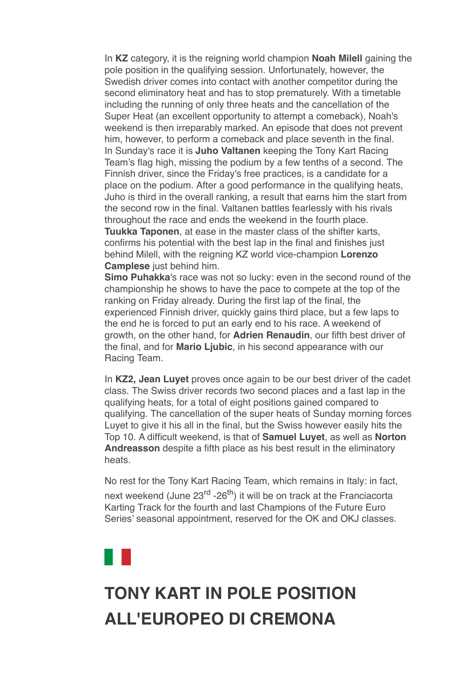In **KZ** category, it is the reigning world champion **Noah Milell** gaining the pole position in the qualifying session. Unfortunately, however, the Swedish driver comes into contact with another competitor during the second eliminatory heat and has to stop prematurely. With a timetable including the running of only three heats and the cancellation of the Super Heat (an excellent opportunity to attempt a comeback), Noah's weekend is then irreparably marked. An episode that does not prevent him, however, to perform a comeback and place seventh in the final. In Sunday's race it is **Juho Valtanen** keeping the Tony Kart Racing Team's flag high, missing the podium by a few tenths of a second. The Finnish driver, since the Friday's free practices, is a candidate for a place on the podium. After a good performance in the qualifying heats, Juho is third in the overall ranking, a result that earns him the start from the second row in the final. Valtanen battles fearlessly with his rivals throughout the race and ends the weekend in the fourth place. **Tuukka Taponen**, at ease in the master class of the shifter karts,

confirms his potential with the best lap in the final and finishes just behind Milell, with the reigning KZ world vice-champion **Lorenzo Camplese** just behind him.

**Simo Puhakka**'s race was not so lucky: even in the second round of the championship he shows to have the pace to compete at the top of the ranking on Friday already. During the first lap of the final, the experienced Finnish driver, quickly gains third place, but a few laps to the end he is forced to put an early end to his race. A weekend of growth, on the other hand, for **Adrien Renaudin**, our fifth best driver of the final, and for **Mario Ljubic**, in his second appearance with our Racing Team.

In **KZ2, Jean Luyet** proves once again to be our best driver of the cadet class. The Swiss driver records two second places and a fast lap in the qualifying heats, for a total of eight positions gained compared to qualifying. The cancellation of the super heats of Sunday morning forces Luyet to give it his all in the final, but the Swiss however easily hits the Top 10. A difficult weekend, is that of **Samuel Luyet**, as well as **Norton Andreasson** despite a fifth place as his best result in the eliminatory heats.

No rest for the Tony Kart Racing Team, which remains in Italy: in fact, next weekend (June 23<sup>rd</sup> -26<sup>th</sup>) it will be on track at the Franciacorta Karting Track for the fourth and last Champions of the Future Euro Series' seasonal appointment, reserved for the OK and OKJ classes.

## **TONY KART IN POLE POSITION [ALL'EUROPEO DI CREMONA](data:text/html;charset=utf-8;base64,%20PGh0bWwgeG1sbnM9Imh0dHA6Ly93d3cudzMub3JnLzE5OTkveGh0bWwiIGNsYXNzPSJhcHBsZS1tYWlsLWltcGxpY2l0LWRhcmstc3VwcG9ydCIgc3R5bGU9Inpvb206IDE7Ij48aGVhZD48c3R5bGUgdHlwZT0idGV4dC9jc3MiPi8qCiAqICBNVUlXZWJEb2N1bWVudC5jc3MKICogIE1haWwKICoKICogIENvcHlyaWdodCAyMDEyIEFwcGxlIEluYy4gQWxsIHJpZ2h0cyByZXNlcnZlZC4gCiAqLwoKKiB7CiAgICAtd2Via2l0LXVzZXItbW9kaWZ5OiBpbml0aWFsICFpbXBvcnRhbnQ7Cn0KCmh0bWwgewogICAgZm9udDogMTIuMDAwMDAwcHggSGVsdmV0aWNhOwp9Cgpib2R5IHsKICAgIG1hcmdpbjogMThweCAyNXB4IDIycHg7CiAgICBwYWRkaW5nOiAwOwogICAgd29yZC13cmFwOiBicmVhay13b3JkOwogICAgd29yZC1icmVhazogYnJlYWstd29yZDsKIH0KCnRhYmxlIHsKICAgIHdvcmQtYnJlYWs6IG5vcm1hbDsKfQoKLyogQXR0YWNobWVudHMgKi8KCmltZy5BcHBsZS1zbWFsbC1pbWFnZSB7CiAgICB3aWR0aDozMjBweDsKfQoKaW1nLkFwcGxlLW1lZGl1bS1pbWFnZSB7CiAgICB3aWR0aDo2NDBweDsKfQoKaW1nLkFwcGxlLWxhcmdlLWltYWdlIHsKICAgIHdpZHRoOjEyODBweDsKfQoKQC13ZWJraXQta2V5ZnJhbWVzIEFwcGxlLWRpc2NyZXRlLXNwaW5uZXIgewogICAgLyogVGhlc2Uga2V5ZnJhbWVzIHRyeSB0byByZXByb2R1Y2UgdGhlIDE2IGRpc2NyZXRlIHN0ZXBzIHNlZW4gaW4gYSBzdGFuZGFyZCBzeXN0ZW0gcHJvZ3Jlc3MgaW5kaWNhdG9yLiAqLwogICAgMCUgewogICAgICAgIGJhY2tncm91bmQtaW1hZ2U6IHVybCgneC1idW5kbGUtcmVzb3VyY2U6SW5kZXRlcm1pbmF0ZVByb2dyZXNzU3Bpbm5lcjEucGRmJyk7CiAgICB9CiAgICA2LjI1MCUgewogICAgICAgIGJhY2tncm91bmQtaW1hZ2U6IHVybCgneC1idW5kbGUtcmVzb3VyY2U6SW5kZXRlcm1pbmF0ZVByb2dyZXNzU3Bpbm5lcjIucGRmJyk7CiAgICB9CiAgICAxMi41MDAlIHsKICAgICAgICBiYWNrZ3JvdW5kLWltYWdlOiB1cmwoJ3gtYnVuZGxlLXJlc291cmNlOkluZGV0ZXJtaW5hdGVQcm9ncmVzc1NwaW5uZXIzLnBkZicpOwogICAgfQogICAgMTguNzUwJSB7CiAgICAgICAgYmFja2dyb3VuZC1pbWFnZTogdXJsKCd4LWJ1bmRsZS1yZXNvdXJjZTpJbmRldGVybWluYXRlUHJvZ3Jlc3NTcGlubmVyNC5wZGYnKTsKICAgIH0KICAgIDI1LjAwMCUgewogICAgICAgIGJhY2tncm91bmQtaW1hZ2U6IHVybCgneC1idW5kbGUtcmVzb3VyY2U6SW5kZXRlcm1pbmF0ZVByb2dyZXNzU3Bpbm5lcjUucGRmJyk7CiAgICB9CiAgICAzMS4yNTAlIHsKICAgICAgICBiYWNrZ3JvdW5kLWltYWdlOiB1cmwoJ3gtYnVuZGxlLXJlc291cmNlOkluZGV0ZXJtaW5hdGVQcm9ncmVzc1NwaW5uZXI2LnBkZicpOwogICAgfQogICAgMzcuNTAwJSB7CiAgICAgICAgYmFja2dyb3VuZC1pbWFnZTogdXJsKCd4LWJ1bmRsZS1yZXNvdXJjZTpJbmRldGVybWluYXRlUHJvZ3Jlc3NTcGlubmVyNy5wZGYnKTsKICAgIH0KICAgIDQzLjc1MCUgewogICAgICAgIGJhY2tncm91bmQtaW1hZ2U6IHVybCgneC1idW5kbGUtcmVzb3VyY2U6SW5kZXRlcm1pbmF0ZVByb2dyZXNzU3Bpbm5lcjgucGRmJyk7CiAgICB9CiAgICA1MC4wMDAlIHsKICAgICAgICBiYWNrZ3JvdW5kLWltYWdlOiB1cmwoJ3gtYnVuZGxlLXJlc291cmNlOkluZGV0ZXJtaW5hdGVQcm9ncmVzc1NwaW5uZXI5LnBkZicpOwogICAgfQogICAgNTYuMjUwJSB7CiAgICAgICAgYmFja2dyb3VuZC1pbWFnZTogdXJsKCd4LWJ1bmRsZS1yZXNvdXJjZTpJbmRldGVybWluYXRlUHJvZ3Jlc3NTcGlubmVyMTAucGRmJyk7CiAgICB9CiAgICA2Mi41MDAlIHsKICAgICAgICBiYWNrZ3JvdW5kLWltYWdlOiB1cmwoJ3gtYnVuZGxlLXJlc291cmNlOkluZGV0ZXJtaW5hdGVQcm9ncmVzc1NwaW5uZXIxMS5wZGYnKTsKICAgIH0KICAgIDY4Ljc1MCUgewogICAgICAgIGJhY2tncm91bmQtaW1hZ2U6IHVybCgneC1idW5kbGUtcmVzb3VyY2U6SW5kZXRlcm1pbmF0ZVByb2dyZXNzU3Bpbm5lcjEyLnBkZicpOwogICAgfQogICAgNzUuMDAwJSB7CiAgICAgICAgYmFja2dyb3VuZC1pbWFnZTogdXJsKCd4LWJ1bmRsZS1yZXNvdXJjZTpJbmRldGVybWluYXRlUHJvZ3Jlc3NTcGlubmVyMTMucGRmJyk7CiAgICB9CiAgICA4MS4yNTAlIHsKICAgICAgICBiYWNrZ3JvdW5kLWltYWdlOiB1cmwoJ3gtYnVuZGxlLXJlc291cmNlOkluZGV0ZXJtaW5hdGVQcm9ncmVzc1NwaW5uZXIxNC5wZGYnKTsKICAgIH0KICAgIDg3LjUwMCUgewogICAgICAgIGJhY2tncm91bmQtaW1hZ2U6IHVybCgneC1idW5kbGUtcmVzb3VyY2U6SW5kZXRlcm1pbmF0ZVByb2dyZXNzU3Bpbm5lcjE1LnBkZicpOwogICAgfQogICAgOTMuNzUwJSB7CiAgICAgICAgYmFja2dyb3VuZC1pbWFnZTogdXJsKCd4LWJ1bmRsZS1yZXNvdXJjZTpJbmRldGVybWluYXRlUHJvZ3Jlc3NTcGlubmVyMTYucGRmJyk7CiAgICB9CiAgICAxMDAlIHsKICAgICAgICBiYWNrZ3JvdW5kLWltYWdlOiB1cmwoJ3gtYnVuZGxlLXJlc291cmNlOkluZGV0ZXJtaW5hdGVQcm9ncmVzc1NwaW5uZXIxLnBkZicpOwogICAgfQp9CgpkaXYuQXBwbGUtaW5kZXRlcm1pbmF0ZS1wcm9ncmVzcy1zcGlubmVyIHsKICAgIHdpZHRoOiAxNnB4OwogICAgaGVpZ2h0OiAxNnB4OwogICAgYmFja2dyb3VuZC1pbWFnZTogdXJsKCd4LWJ1bmRsZS1yZXNvdXJjZTpJbmRldGVybWluYXRlUHJvZ3Jlc3NTcGlubmVyMS5wZGYnKTsKICAgIGJhY2tncm91bmQtcmVwZWF0OiBuby1yZXBlYXQ7CiAgICBiYWNrZ3JvdW5kLXNpemU6IDEwMCUgMTAwJTsKICAgIC13ZWJraXQtYW5pbWF0aW9uLW5hbWU6IEFwcGxlLWRpc2NyZXRlLXNwaW5uZXI7CiAgICAtd2Via2l0LWFuaW1hdGlvbi1kdXJhdGlvbjogMXM7CiAgICAtd2Via2l0LWFuaW1hdGlvbi1pdGVyYXRpb24tY291bnQ6IGluZmluaXRlOwogICAgLXdlYmtpdC1hbmltYXRpb24tdGltaW5nLWZ1bmN0aW9uOiBzdGVwLXN0YXJ0Owp9CgovKiBMaXN0IFN0eWxlcyAqLwoKdWwuQXBwbGUtZGFzaC1saXN0LCB1bC5BcHBsZS1kYXNoLWxpc3QgdWwgewogICAgbGlzdC1zdHlsZS10eXBlOiBub25lOwp9CiAgICAKdWwuQXBwbGUtZGFzaC1saXN0IGxpOmJlZm9yZSB7CiAgICBjb250ZW50OiAiXDIwMTMiOwogICAgcG9zaXRpb246IGFic29sdXRlOwogICAgbWFyZ2luOiAwIC0xLjI1ZW07Cn0KCi8qIE9yZGVyZWQgTGlzdHM6IFN1cHBvcnQgOSBkZWVwLCBsaWtlIFBhZ2VzLCB0aGVuIGZhbGwgYmFjayB0byBkYXNoZXMgKi8Kb2wsIG9sIG9sIG9sIG9sLCBvbCBvbCBvbCBvbCBvbCBvbCBvbCB7CiAgICBsaXN0LXN0eWxlLXR5cGU6IGRlY2ltYWw7Cn0KCm9sIG9sLCBvbCBvbCBvbCBvbCBvbCwgb2wgb2wgb2wgb2wgb2wgb2wgb2wgb2wgewogICAgbGlzdC1zdHlsZS10eXBlOiBsb3dlci1hbHBoYTsKfQoKb2wgb2wgb2wsIG9sIG9sIG9sIG9sIG9sIG9sLCBvbCBvbCBvbCBvbCBvbCBvbCBvbCBvbCBvbCB7CiAgICBsaXN0LXN0eWxlLXR5cGU6IGxvd2VyLXJvbWFuOwp9CgpvbCBvbCBvbCBvbCBvbCBvbCBvbCBvbCBvbCBvbCB7CiAgICBsaXN0LXN0eWxlLXR5cGU6IG5vbmU7Cn0KCm9sIG9sIG9sIG9sIG9sIG9sIG9sIG9sIG9sIG9sIGxpOmJlZm9yZSB7CiAgICBjb250ZW50OiAiXDIwMTMiOwogICAgcG9zaXRpb246IGFic29sdXRlOwogICAgLXdlYmtpdC1tYXJnaW4tc3RhcnQ6IC0xLjI1ZW07Cn0KCi8qIE1haWwtc3BlY2lmaWMgU3R5bGVzICovCgphLngtYXBwbGUtbWFpbC1zZWUtbW9yZSwgYS54LWFwcGxlLW1haWwtc2VlLW1vcmUtZnJvbSB7CiAgICBmb250LXNpemU6IDEwcHg7CiAgICBmb250LWZhbWlseTogSGVsdmV0aWNhOwogICAgdGV4dC1kZWNvcmF0aW9uOiBub25lOwogICAgY29sb3I6IC1hcHBsZS1zeXN0ZW0tYmx1ZTsKICAgIC1hcHBsZS1jb2xvci1maWx0ZXI6IG5vbmU7Cn0KCmEueC1hcHBsZS1tYWlsLXNlZS1tb3JlIHsKICAgIGZvbnQtc2l6ZTogMTFweDsKICAgIGZvbnQtd2VpZ2h0OiBib2xkOwp9Cgpib2R5LkFwcGxlUGxhaW5UZXh0Qm9keSB7CiAgICAtd2Via2l0LW5ic3AtbW9kZTogc3BhY2U7CiAgICBmb250LXNpemU6IGluaGVyaXRweDsKICAgIGZvbnQtZmFtaWx5OiBpbmhlcml0Owp9Cgpib2R5LlNpbmdsZXRvbiB7CiAgICBtYXJnaW4tbGVmdDogMzZweDsKfQoKLngtYXBwbGUtbWFpbGRyb3BiYW5uZXIgewogICAgZGlzcGxheTogbm9uZTsKfQoKYmxvY2txdW90ZVt0eXBlPWNpdGVdIHsKICAgIHBhZGRpbmctbGVmdDogOHB4OwogICAgbWFyZ2luOiAwOwogICAgYm9yZGVyLWxlZnQtd2lkdGg6IDJweDsKICAgIGJvcmRlci1sZWZ0LXN0eWxlOiBzb2xpZDsKICAgIGJvcmRlci1sZWZ0LWNvbG9yOiByZ2JhKDg4LCA4NiwgMjE0LCAyNTUpOwogICAgY29sb3I6IHJnYmEoODgsIDg2LCAyMTQsIDI1NSk7Cn0KCmJsb2NrcXVvdGVbdHlwZT1jaXRlXSBibG9ja3F1b3RlW3R5cGU9Y2l0ZV0gewogICAgYm9yZGVyLWxlZnQtd2lkdGg6IDJweDsKICAgIGJvcmRlci1sZWZ0LXN0eWxlOiBzb2xpZDsKICAgIGJvcmRlci1sZWZ0LWNvbG9yOiByZ2JhKDAsIDE3NSwgMjA1LCAyNTUpOwogICAgY29sb3I6IHJnYmEoMCwgMTc1LCAyMDUsIDI1NSk7Cn0KCmJsb2NrcXVvdGVbdHlwZT1jaXRlXSBibG9ja3F1b3RlW3R5cGU9Y2l0ZV0gYmxvY2txdW90ZVt0eXBlPWNpdGVdIHsKICAgIGJvcmRlci1sZWZ0LXdpZHRoOiAycHg7CiAgICBib3JkZXItbGVmdC1zdHlsZTogc29saWQ7CiAgICBib3JkZXItbGVmdC1jb2xvcjogcmdiYSgxOCwgMTkyLCAxNCwgMjU1KTsKICAgIGNvbG9yOiByZ2JhKDE4LCAxOTIsIDE0LCAyNTUpOwp9CgppbWcuQXBwbGUtd2ViLWF0dGFjaG1lbnQgewogICAgdmVydGljYWwtYWxpZ246IHRvcCAhaW1wb3J0YW50OwogICAgbWF4LXdpZHRoOiAxMDAlICFpbXBvcnRhbnQ7Cn0KCnZpZGVvLkFwcGxlLXdlYi1hdHRhY2htZW50IHsKICAgIG1heC13aWR0aDogMTAwJSAhaW1wb3J0YW50Owp9CgppbWcuQXBwbGUtZWRnZS10by1lZGdlLXZpc3VhbC1tZWRpYSwgdmlkZW8uQXBwbGUtZWRnZS10by1lZGdlLXZpc3VhbC1tZWRpYSB7CiAgICBkaXNwbGF5OiBibG9jazsKICAgIG1heC13aWR0aDogY2FsYygxMDAlICsgNTBweCkgIWltcG9ydGFudDsKICAgIG1hcmdpbjogMCAtMjVweDsKfQoKaW1nLkFwcGxlLWVkZ2UtdG8tZWRnZS12aXN1YWwtbWVkaWEuU2luZ2xldG9uLCB2aWRlby5BcHBsZS1lZGdlLXRvLWVkZ2UtdmlzdWFsLW1lZGlhLlNpbmdsZXRvbiB7CiAgICBkaXNwbGF5OiBibG9jazsKICAgIG1heC13aWR0aDogY2FsYygxMDAlICsgNjFweCkgIWltcG9ydGFudDsKICAgIG1hcmdpbjogMCAtMjVweCAwIC0zNnB4Owp9CgoKLyogTWVkaWEgUXVlcnkgT3ZlcnJpZGVzIChMZWF2ZSBhdCBib3R0b20pICovCgpAbWVkaWEgc2NyZWVuIGFuZCAocHJlZmVycy1jb2xvci1zY2hlbWU6IGRhcmspIHsKICAgIC8qIEltcGxpY2l0IChjb2xvci1maWx0ZXJlZCkgZGFyayBtb2RlICovCiAgICA6cm9vdC5hcHBsZS1tYWlsLWltcGxpY2l0LWRhcmstc3VwcG9ydCB7CiAgICAgICAgLWFwcGxlLWNvbG9yLWZpbHRlcjogYXBwbGUtaW52ZXJ0LWxpZ2h0bmVzcygpOwogICAgICAgIC0tcXVvdGUtYmFyLWNvbG9yLWxldmVsLTE6IC1hcHBsZS1zeXN0ZW0tcHVycGxlOwogICAgICAgIC0tcXVvdGUtdGV4dC1jb2xvci1sZXZlbC0xOiAtYXBwbGUtc3lzdGVtLXB1cnBsZTsKICAgICAgICAtLXF1b3RlLWJhci1jb2xvci1sZXZlbC0yOiByZ2JhKDAsIDE3NSwgMjA1LCAyNTUpOwogICAgICAgIC0tcXVvdGUtdGV4dC1jb2xvci1sZXZlbC0yOiByZ2JhKDAsIDE3NSwgMjA1LCAyNTUpOwogICAgICAgIC0tcXVvdGUtYmFyLWNvbG9yLWxldmVsLTM6IHJnYmEoMTgsIDE5MiwgMTQsIDI1NSk7CiAgICAgICAgLS1xdW90ZS10ZXh0LWNvbG9yLWxldmVsLTM6IHJnYmEoMTgsIDE5MiwgMTQsIDI1NSk7CiAgICB9CgogICAgLyogRXhwbGljaXQgKGRlY2xhcmVkKSBkYXJrIG1vZGUgKi8KICAgIDpyb290Om5vdCguYXBwbGUtbWFpbC1pbXBsaWNpdC1kYXJrLXN1cHBvcnQpIHsKICAgICAgICAtLXF1b3RlLWJhci1jb2xvci1sZXZlbC0xOiAtYXBwbGUtc3lzdGVtLXB1cnBsZTsKICAgICAgICAtLXF1b3RlLXRleHQtY29sb3ItbGV2ZWwtMTogLWFwcGxlLXN5c3RlbS1wdXJwbGU7CiAgICAgICAgLS1xdW90ZS1iYXItY29sb3ItbGV2ZWwtMjogcmdiYSgwLCAyMDAsIDI1MCwgMjU1KTsKICAgICAgICAtLXF1b3RlLXRleHQtY29sb3ItbGV2ZWwtMjogcmdiYSgwLCAyMDAsIDI1MCwgMjU1KTsKICAgICAgICAtLXF1b3RlLWJhci1jb2xvci1sZXZlbC0zOiByZ2JhKDg3LCAyMTcsIDExOSwgMjU1KTsKICAgICAgICAtLXF1b3RlLXRleHQtY29sb3ItbGV2ZWwtMzogcmdiYSg4NywgMjE3LCAxMTksIDI1NSk7CiAgICB9CgogICAgYmxvY2txdW90ZVt0eXBlPWNpdGVdIHsKICAgICAgICBib3JkZXItbGVmdC1jb2xvcjogdmFyKC0tcXVvdGUtYmFyLWNvbG9yLWxldmVsLTEpOwogICAgICAgIGNvbG9yOiB2YXIoLS1xdW90ZS10ZXh0LWNvbG9yLWxldmVsLTEpOwogICAgfQoKICAgIGJsb2NrcXVvdGVbdHlwZT1jaXRlXSBibG9ja3F1b3RlW3R5cGU9Y2l0ZV0gewogICAgICAgIGJvcmRlci1sZWZ0LWNvbG9yOiB2YXIoLS1xdW90ZS1iYXItY29sb3ItbGV2ZWwtMik7CiAgICAgICAgY29sb3I6IHZhcigtLXF1b3RlLXRleHQtY29sb3ItbGV2ZWwtMik7CiAgICB9CgogICAgYmxvY2txdW90ZVt0eXBlPWNpdGVdIGJsb2NrcXVvdGVbdHlwZT1jaXRlXSBibG9ja3F1b3RlW3R5cGU9Y2l0ZV0gewogICAgICAgIGJvcmRlci1sZWZ0LWNvbG9yOiB2YXIoLS1xdW90ZS1iYXItY29sb3ItbGV2ZWwtMyk7CiAgICAgICAgY29sb3I6IHZhcigtLXF1b3RlLXRleHQtY29sb3ItbGV2ZWwtMyk7CiAgICB9Cn0KCi8qIFByaW50IFN0eWxlcyAqLwoKQG1lZGlhIHByaW50IHsKICAgIGJvZHkgewogICAgICAgIGZvbnQtc2l6ZTogODAlOwogICAgICAgIHBhZGRpbmc6IDA7CiAgICAgICAgbWFyZ2luOiAwOwogICAgfQp9Ci5NYWlsT3V0bGluZSB7IG1hcmdpbi10b3A6MDsgbWFyZ2luLWJvdHRvbTowOyB9Cjwvc3R5bGU+CgkJPG1ldGEgaHR0cC1lcXVpdj0iQ29udGVudC1UeXBlIiBjb250ZW50PSJ0ZXh0L2h0bWw7IGNoYXJzZXQ9dXRmLTgiPgoJCTx0aXRsZT5UT05ZS0FSVDwvdGl0bGU+Cgk8L2hlYWQ+Cgk8Ym9keSBiZ2NvbG9yPSIjZmZmZmZmIiBjbGFzcz0iU2luZ2xldG9uIj4KCQk8c3R5bGU+CgkJCWJvZHkgeyBtYXJnaW46MHB4OyB9CgkJPC9zdHlsZT4KCgkJPHRhYmxlIHdpZHRoPSIxMDAlIiBib3JkZXI9IjAiIGNlbGxzcGFjaW5nPSIwIiBjZWxscGFkZGluZz0iMCIgYmdjb2xvcj0iI2ZmZmZmZiI+CgkJCTx0Ym9keT48dHI+CgkJCQk8dGQgYWxpZ249ImNlbnRlciI+PC90ZD4KCQkJPC90cj4KCQkJPHRyPgoJCQkJPHRkPgoJCQkJCTx0YWJsZSB3aWR0aD0iNjAwIiBib3JkZXI9IjAiIGNlbGxzcGFjaW5nPSIwIiBjZWxscGFkZGluZz0iMCIgYmdjb2xvcj0iI0ZGRkZGRiIgYWxpZ249ImNlbnRlciI+CgkJCQkJCTx0Ym9keT48dHI+CgkJCQkJCQk8dGQgYmdjb2xvcj0iIzAwOGIzNSI+CgkJCQkJCQkJPCEtLSBoZWFkZXIgLS0+CgkJCQkJCQkJPHRhYmxlIGJvcmRlcj0iMCIgd2lkdGg9IjYwMCIgaGVpZ2h0PSI2MCIgY2VsbHNwYWNpbmc9IjAiIGNlbGxwYWRkaW5nPSIwIiBhbGlnbj0iY2VudGVyIj4KCQkJCQkJCQkJPHRib2R5Pjx0cj4KCQkJCQkJCQkJCTx0ZCB2YWxpZ249InRvcCI+CgkJCQkJCQkJCQkJPHRhYmxlIGJvcmRlcj0iMCIgY2VsbHBhZGRpbmc9IjAiIGNlbGxzcGFjaW5nPSIwIiBhbGlnbj0iY2VudGVyIiB3aWR0aD0iNjAwIiBiYWNrZ3JvdW5kPSIjMDA4ZDM2Ij4KCQkJCQkJCQkJCQkJPHRib2R5Pjx0cj4KCQkJCQkJCQkJCQkJCTx0ZCB2YWxpZ249Im1pZGRsZSIgc3R5bGU9InBhZGRpbmctbGVmdDoyMHB4Ij4KCQkJCQkJCQkJCQkJCQk8YSBocmVmPSIjIj48aW1nIHNyYz0iaHR0cDovL25ld3NsZXR0ZXIudG9ueWthcnQuY29tL2ltYWdlcy90b255a2FydC9sb2dvLnBuZyIgd2lkdGg9IjExMSIgaGVpZ2h0PSI2OCIgYWx0PSIiIGJvcmRlcj0iMCI+PC9hPgoJCQkJCQkJCQkJCQkJPC90ZD4KCQkJCQkJCQkJCQkJCTx0ZCB2YWxpZ249Im1pZGRsZSI+CgkJCQkJCQkJCQkJCQkJPHRhYmxlIGJvcmRlcj0iMCIgYmdjb2xvcj0iIzAwOGIzNSIgY2VsbHBhZGRpbmc9IjAiIGNlbGxzcGFjaW5nPSIwIiBhbGlnbj0icmlnaHQiPgoJCQkJCQkJCQkJCQkJCQk8dGJvZHk+PHRyPgoJCQkJCQkJCQkJCQkJCQkJPHRkIGNsYXNzPSJjZW50ZXIiIHN0eWxlPSJmb250LXNpemU6IDEzcHg7IGNvbG9yOiAjMjcyNzI3OyBmb250LXdlaWdodDogbGlnaHQ7IHRleHQtYWxpZ246IHJpZ2h0OyBmb250LWZhbWlseTogJ09wZW4gU2FucycsIEhlbHZldGljYSwgQXJpYWwsIHNhbnMtc2VyaWY7IGxpbmUtaGVpZ2h0OiAyMHB4OyB2ZXJ0aWNhbC1hbGlnbjogbWlkZGxlOyBwYWRkaW5nOjZweCAyMHB4IDBweCAyMHB4OyBmb250LXN0eWxlOml0YWxpYyI+CgkJCQkJCQkJCQkJCQkJCQkJPGEgaHJlZj0iaHR0cHM6Ly93d3cuZmFjZWJvb2suY29tL3Rvbnkua2FydC5vZmZpY2lhbC8/ZnJlZj10cyI+PGltZyBzcmM9Imh0dHA6Ly9uZXdzbGV0dGVyLnRvbnlrYXJ0LmNvbS9pbWFnZXMvdG9ueWthcnQvc29jaWFsX2ZhY2Vib29rLnBuZyIgYm9yZGVyPSIwIiBhbHQ9IiI+PC9hPgoJCQkJCQkJCQkJCQkJCQkJCTwhLS0gICAmbmJzcDsmbmJzcDsmbmJzcDsKCQkJCQkJCQkJCQkJCQkJCQk8YSBocmVmPSIjIj48aW1nIHNyYz0iaHR0cDovL25ld3NsZXR0ZXIudG9ueWthcnQuY29tL2ltYWdlcy90b255a2FydC9zb2NpYWxfdHdpdHRlci5wbmciIGJvcmRlcj0iMCIgYWx0PSIiPjwvYT4gLS0+CgkJCQkJCQkJCQkJCQkJCQkJJm5ic3A7Jm5ic3A7Jm5ic3A7CgkJCQkJCQkJCQkJCQkJCQkJPGEgaHJlZj0iaHR0cHM6Ly93d3cuaW5zdGFncmFtLmNvbS90b255a2FydG9mZmljaWFsLyAiPjxpbWcgc3JjPSJodHRwOi8vbmV3c2xldHRlci50b255a2FydC5jb20vaW1hZ2VzL3RvbnlrYXJ0L3NvY2lhbF9pbnN0YWdyYW0ucG5nIiBib3JkZXI9IjAiIGFsdD0iIj48L2E+CgkJCQkJCQkJCQkJCQkJCQkJJm5ic3A7Jm5ic3A7Jm5ic3A7CgkJCQkJCQkJCQkJCQkJCQkJPGEgaHJlZj0iaHR0cHM6Ly93d3cueW91dHViZS5jb20vY2hhbm5lbC9VQ2JILURnMlFKRlV3aGJBWG5qN1hGVnciPjxpbWcgc3JjPSJodHRwOi8vbmV3c2xldHRlci50b255a2FydC5jb20vaW1hZ2VzL3RvbnlrYXJ0L3NvY2lhbF95b3V0dWJlLnBuZyIgYm9yZGVyPSIwIiBhbHQ9IiI+PC9hPgoKCQkJCQkJCQkJCQkJCQkJCTwvdGQ+CgkJCQkJCQkJCQkJCQkJCTwvdHI+CgkJCQkJCQkJCQkJCQkJPC90Ym9keT48L3RhYmxlPgoJCQkJCQkJCQkJCQkJPC90ZD4KCQkJCQkJCQkJCQkJPC90cj4KCQkJCQkJCQkJCQk8L3Rib2R5PjwvdGFibGU+CgkJCQkJCQkJCQk8L3RkPgoJCQkJCQkJCQk8L3RyPgoJCQkJCQkJCQk8dHI+CgkJCQkJCQkJCQk8dGQgdmFsaWduPSJ0b3AiPgoJCQkJCQkJCQkJCTxpbWcgc3JjPSJodHRwOi8vbmV3c2xldHRlci50b255a2FydC5jb20vYWxsZWdhdGlfdGVtcGxhdGUvMjAyMi8yMDIyMDYyMS0xMzU1NTExL3Rlc3RhdGEuanBlZyIgYWx0PSIiIHdpZHRoPSI2MDIiIGhlaWdodD0iMjUyIiBzdHlsZT0id2lkdGg6NjAycHg7IGhlaWdodDoyNTJweDsiPgoJCQkJCQkJCQkJPC90ZD4KCQkJCQkJCQkJPC90cj4KCQkJCQkJCQk8L3Rib2R5PjwvdGFibGU+CgkJCQkJCQkJPCEtLSAuaGVhZGVyIC0tPgoJCQkJCQkJPC90ZD4KCQkJCQkJPC90cj4KCQkJCQkJPHRyPgoJCQkJCQkJPHRkPgoJCQkJCQkJCTx0YWJsZSB3aWR0aD0iMTAwJSIgYm9yZGVyPSIwIiBjZWxsc3BhY2luZz0iMCIgY2VsbHBhZGRpbmc9IjAiPgoJCQkJCQkJCQk8dGJvZHk+PHRyPgoJCQkJCQkJCQkJPHRkIHdpZHRoPSIxMCUiPiZuYnNwOzwvdGQ+CgkJCQkJCQkJCQk8dGQgd2lkdGg9IjgwJSIgYWxpZ249ImxlZnQiIHZhbGlnbj0idG9wIj4KCQkJCQkJCQkJCQk8dGFibGUgd2lkdGg9IjEwMCUiIGJvcmRlcj0iMCIgY2VsbHNwYWNpbmc9IjAiIGNlbGxwYWRkaW5nPSIwIj4KCQkJCQkJCQkJCQkJPHRib2R5Pjx0cj48dGQ+Jm5ic3A7PC90ZD48L3RyPgoJCQkJCQkJCQkJCQk8dHI+CgkJCQkJCQkJCQkJCQk8dGQgYWxpZ249ImxlZnQiIHZhbGlnbj0idG9wIj4KCQkJCQkJCQkJCQkJCQk8dGFibGUgd2lkdGg9IjEwMCUiIGJvcmRlcj0iMCIgY2VsbHNwYWNpbmc9IjAiIGNlbGxwYWRkaW5nPSIwIj4KCQkJCQkJCQkJCQkJCQk8dGJvZHk+PHRyPgoJCQkJCQkJCQkJCQkJCQk8dGQgaGVpZ2h0PSIzNSIgYWxpZ249ImxlZnQiIHZhbGlnbj0ibWlkZGxlIj4KCQkJCQkJCQkJCQkJCQkJCTx0YWJsZSBib3JkZXI9IjAiIHdpZHRoPSIxMDAlIiBjZWxscGFkZGluZz0iMCIgY2VsbHNwYWNpbmc9IjAiPgoJCQkJCQkJCQkJCQkJCQkJPHRib2R5Pjx0cj4KCQkJCQkJCQkJCQkJCQkJCTx0ZCB3aWR0aD0iODAiIGFsaWduPSJsZWZ0IiB2YWxpZ249Im1pZGRsZSIgc3R5bGU9InBhZGRpbmctdG9wOjEwcHg7IHBhZGRpbmctYm90dG9tOiAxMHB4OyBib3JkZXItYm90dG9tOiA5cHggc29saWQgIzAwOGIzNSI+PGZvbnQgc3R5bGU9InRleHQtZGVjb3JhdGlvbjogbm9uZTsgZm9udC1zaXplOiAxNXB4OyBjb2xvcjogIzNhM2EzYTsgZm9udC1mYW1pbHk6J09wZW4gU2FucycsIEhlbHZldGljYSwgQXJpYWwsIHNhbnMtc2VyaWY7Ij4yMS8wNi8yMDIyPC9mb250PgoJCQkJCQkJCQkJCQkJCQkJPC90ZD4KCQkJCQkJCQkJCQkJCQkJCTx0ZCBhbGlnbj0icmlnaHQiIHZhbGlnbj0ibWlkZGxlIj4mbmJzcDs8L3RkPgoJCQkJCQkJCQkJCQkJCQkJPC90cj4KCQkJCQkJCQkJCQkJCQkJCTwvdGJvZHk+PC90YWJsZT4KCQkJCQkJCQkJCQkJCQkJPC90ZD4KCQkJCQkJCQkJCQkJCQk8L3RyPgoJCQkJCQkJCQkJCQkJCTx0cj48dGQ+Jm5ic3A7PC90ZD48L3RyPgoJCQkJCQkJCQkJCQkJCTwhLS0gSU5HTEVTRSAtLT4KCQkJCQkJCQkJCQkJCQkJCQkJCQkJCQkJCQkJCTwhLS0gQmFuZGllcmEgRU5HIC0tPgoJCQkJCQkJCQkJCQkJCTx0cj4KCQkJCQkJCQkJCQkJCQkJPHRkIGhlaWdodD0iNDAiIGFsaWduPSJsZWZ0IiB2YWxpZ249Im1pZGRsZSIgc3R5bGU9InBhZGRpbmctdG9wOjEwcHg7IHBhZGRpbmctYm90dG9tOjEwcHg7Ij4KCQkJCQkJCQkJCQkJCQkJPCEtLSBoZWFkbGluZSAtLT4KCQkJCQkJCQkJCQkJCQkJCTxpbWcgc3JjPSJodHRwOi8vbmV3c2xldHRlci50b255a2FydC5jb20vaW1hZ2VzL3RvbnlrYXJ0L2ZsYWctZW4uZ2lmIiBhbHQ9IiI+PGJyPjxicj4KCgkJCQkJCQkJCQkJCQkJCTwvdGQ+CgkJCQkJCQkJCQkJCQkJPC90cj4KCQkJCQkJCQkJCQkJCQk8IS0tIFRpdGxlIEVORyAtLT4KCQkJCQkJCQkJCQkJCQk8dHI+CgkJCQkJCQkJCQkJCQkJCTx0ZCBoZWlnaHQ9IjQwIiBhbGlnbj0ibGVmdCIgdmFsaWduPSJtaWRkbGUiIHN0eWxlPSJwYWRkaW5nLXRvcDoxMHB4OyBwYWRkaW5nLWJvdHRvbToxMHB4OyI+CgkJCQkJCQkJCQkJCQkJCQk8IS0tIGhlYWRsaW5lIC0tPgoJCQkJCQkJCQkJCQkJCQkJPGEgaHJlZj0iIyIgc3R5bGU9InRleHQtZGVjb3JhdGlvbjogbm9uZTsiPjxmb250IHN0eWxlPSJsaW5lLWhlaWdodDogNDBweDsgZm9udC1zaXplOiAyNnB4OyBjb2xvcjogIzNhM2EzYTsgZm9udC13ZWlnaHQ6IGJvbGQ7IGZvbnQtZmFtaWx5OidPcGVuIFNhbnMnLCBIZWx2ZXRpY2EsIEFyaWFsLCBzYW5zLXNlcmlmOyI+VE9OWSBLQVJUIElOIFBPTEUgUE9TSVRJT04gQVQgVEhFIEVVUk9QRUFOIENIQU1QIElOIENSRU1PTkE8L2ZvbnQ+PC9hPgoKCQkJCQkJCQkJCQkJCQkJPC90ZD4KCQkJCQkJCQkJCQkJCQk8L3RyPgoJCQkJCQkJCQkJCQkJCTwhLS0gQm9keSBFTkcgLS0+CgkJCQkJCQkJCQkJCQkJPHRyPgoJCQkJCQkJCQkJCQkJCQk8dGQgYWxpZ249ImxlZnQiIHZhbGlnbj0idG9wIj4KCQkJCQkJCQkJCQkJCQkJPHRhYmxlIHdpZHRoPSIxMDAlIiBib3JkZXI9IjAiIGNlbGxwYWRkaW5nPSIwIiBjZWxsc3BhY2luZz0iMCI+CgkJCQkJCQkJCQkJCQkJCQk8dGJvZHk+PHRyPjx0ZD4mbmJzcDs8L3RkPjwvdHI+CgkJCQkJCQkJCQkJCQkJCQk8dHI+CgkJCQkJCQkJCQkJCQkJCQkJPHRkIHZhbGlnbj0idG9wIj4KCQkJCQkJCQkJCQkJCQkJCQkJPHAgc3R5bGU9Im1zby10YWJsZS1sc3BhY2U6MDttc28tdGFibGUtcnNwYWNlOjA7IG1hcmdpbjowIj4KCQkJCQkJCQkJCQkJCQkJCQkJPGZvbnQgc3R5bGU9ImZvbnQtd2VpZ2h0OiAyMDA7IGZvbnQtc2l6ZTogMjRweDsgbGluZS1oZWlnaHQ6MzJweDsgdGV4dC1hbGlnbjogbGVmdDsgZm9udC1mYW1pbHk6ICdPcGVuIFNhbnMgTGlnaHQnLCBIZWx2ZXRpY2EsIEFyaWFsLCBzYW5zLXNlcmlmOyBjb2xvcjojMDA4YjM1Ij4KCQkJCQkJCQkJCQkJCQkJCQkJCQkJCQkJCQkJCQkJCQkJCQkJPC9mb250PjwvcD4KCQkJCQkJCQkJCQkJCQkJCQk8L3RkPgoJCQkJCQkJCQkJCQkJCQkJPC90cj4KCQkJCQkJCQkJCQkJCQkJCTx0cj4KCQkJCQkJCQkJCQkJCQkJCQk8dGQgdmFsaWduPSJtaWRkbGUiIHN0eWxlPSJib3JkZXItYm90dG9tOjFweCBzb2xpZCAjYzljOWM5OyI+Jm5ic3A7PC90ZD4KCQkJCQkJCQkJCQkJCQkJCTwvdHI+CgkJCQkJCQkJCQkJCQkJCQk8dHI+PHRkIHZhbGlnbj0ibWlkZGxlIj4mbmJzcDs8L3RkPjwvdHI+CgkJCQkJCQkJCQkJCQkJCQk8dHI+CgkJCQkJCQkJCQkJCQkJCQkJPHRkIHZhbGlnbj0idG9wIj4KCQkJCQkJCQkJCQkJCQkJCQkJPHAgc3R5bGU9Im1zby10YWJsZS1sc3BhY2U6MDttc28tdGFibGUtcnNwYWNlOjA7IG1hcmdpbjowIj48Zm9udCBzdHlsZT0iZm9udC1zaXplOiAxNXB4OyBsaW5lLWhlaWdodDoxOHB4OyB0ZXh0LWFsaWduOiBsZWZ0OyBmb250LWZhbWlseTogJ09wZW4gU2FucyBMaWdodCcsIEhlbHZldGljYSwgQXJpYWwsIHNhbnMtc2VyaWY7IGNvbG9yOiM0MzQzNDMiPgoJCQkJCQkJCQkJCQkJCQkJCQk8L2ZvbnQ+PC9wPjxwPjxmb250IHN0eWxlPSJmb250LXNpemU6IDE1cHg7IGxpbmUtaGVpZ2h0OjE4cHg7IHRleHQtYWxpZ246IGxlZnQ7IGZvbnQtZmFtaWx5OiAnT3BlbiBTYW5zIExpZ2h0JywgSGVsdmV0aWNhLCBBcmlhbCwgc2Fucy1zZXJpZjsgY29sb3I6IzQzNDM0MyI+T3VyIFJhY2luZyBUZWFtIG9wZW5zIHRoZSBzZWNvbmQgYW5kIGZpbmFsIHJvdW5kIG9mIHRoZSBGSUEgS2FydGluZyBFdXJvcGVhbiBDaGFtcGlvbnNoaXAgMjAyMiByZXNlcnZlZCBmb3IgS1ogYW5kIEtaMiBjYXRlZ29yaWVzIHdpdGggdGhlIGJlc3QgdGltZSBpbiBxdWFsaWZ5aW5nIGhlYXRzLCBob3dldmVyIHRoZSB3ZWVrZW5kIGRvZXMgbm90IGVuZCBhcyBleHBlY3RlZDwvZm9udD48L3A+PGZvbnQgc3R5bGU9ImZvbnQtc2l6ZTogMTVweDsgbGluZS1oZWlnaHQ6MThweDsgdGV4dC1hbGlnbjogbGVmdDsgZm9udC1mYW1pbHk6ICdPcGVuIFNhbnMgTGlnaHQnLCBIZWx2ZXRpY2EsIEFyaWFsLCBzYW5zLXNlcmlmOyBjb2xvcjojNDM0MzQzIj4KPHA+VGhlIEZJQSBLYXJ0aW5nIEV1cm9wZWFuIENoYW1waW9uc2hpcCBmb3IgS1otS1oyIG9mIG91ciBUb255IEthcnQgUmFjaW5nIFRlYW0gY2xvc2VzIHdpdGggYml0dGVyc3dlZXQgbm90ZXMuIE9uIHRoZSB1bnByZWNlZGVudGVkIHRyYWNrIG9mIENyZW1vbmEsIGluIEl0YWx5LCB0aGUgPHN0cm9uZz5Ub255IEthcnQgUmFjZXIgNDAxIFJSPC9zdHJvbmc+IC0gaW4gY29tYmluYXRpb24gd2l0aCB0aGUgPHN0cm9uZz5Wb3J0ZXggUlRaL1JTWjwvc3Ryb25nPiBlbmdpbmVzIG9mIHRoZSBPVEsgS2FydCBHcm91cCdzICJlbmdpbmUgZGl2aXNpb24iIC0gc2lnbnMgdGhlIHBvbGUgcG9zaXRpb24gaW4gS1ogY2xhc3Mgd2l0aCBhIGdhcCBvZiBtb3JlIHRoYW4gMiB0ZW50aHMgb24gdGhlIGNsb3Nlc3QgY2hhc2VyLiBVbmZvcnR1bmF0ZWx5LCBob3dldmVyLCB0aGUgd2Vla2VuZCBkb2VzIG5vdCBlbmQgYWNjb3JkaW5nIHRvIGV4cGVjdGF0aW9ucy48L3A+CjxwPkluIDxzdHJvbmc+S1o8L3N0cm9uZz4gY2F0ZWdvcnksIGl0IGlzIHRoZSByZWlnbmluZyB3b3JsZCBjaGFtcGlvbiA8c3Ryb25nPk5vYWggTWlsZWxsPC9zdHJvbmc+IGdhaW5pbmcgdGhlIHBvbGUgcG9zaXRpb24gaW4gdGhlIHF1YWxpZnlpbmcgc2Vzc2lvbi4gVW5mb3J0dW5hdGVseSwgaG93ZXZlciwgdGhlIFN3ZWRpc2ggZHJpdmVyIGNvbWVzIGludG8gY29udGFjdCB3aXRoIGFub3RoZXIgY29tcGV0aXRvciBkdXJpbmcgdGhlIHNlY29uZCBlbGltaW5hdG9yeSBoZWF0IGFuZCBoYXMgdG8gc3RvcCBwcmVtYXR1cmVseS4gV2l0aCBhIHRpbWV0YWJsZSBpbmNsdWRpbmcgdGhlIHJ1bm5pbmcgb2Ygb25seSB0aHJlZSBoZWF0cyBhbmQgdGhlIGNhbmNlbGxhdGlvbiBvZiB0aGUgU3VwZXIgSGVhdCAoYW4gZXhjZWxsZW50IG9wcG9ydHVuaXR5IHRvIGF0dGVtcHQgYSBjb21lYmFjayksIE5vYWgncyB3ZWVrZW5kIGlzIHRoZW4gaXJyZXBhcmFibHkgbWFya2VkLiBBbiBlcGlzb2RlIHRoYXQgZG9lcyBub3QgcHJldmVudCBoaW0sIGhvd2V2ZXIsIHRvIHBlcmZvcm0gYSBjb21lYmFjayBhbmQgcGxhY2Ugc2V2ZW50aCBpbiB0aGUgZmluYWwuPGJyPiBJbiBTdW5kYXkncyByYWNlIGl0IGlzIDxzdHJvbmc+SnVobyBWYWx0YW5lbjwvc3Ryb25nPiBrZWVwaW5nIHRoZSBUb255IEthcnQgUmFjaW5nIFRlYW3igJlzIGZsYWcgaGlnaCwgbWlzc2luZyB0aGUgcG9kaXVtIGJ5IGEgZmV3IHRlbnRocyBvZiBhIHNlY29uZC4gVGhlIEZpbm5pc2ggZHJpdmVyLCBzaW5jZSB0aGUgRnJpZGF5J3MgZnJlZSBwcmFjdGljZXMsIGlzIGEgY2FuZGlkYXRlIGZvciBhIHBsYWNlIG9uIHRoZSBwb2RpdW0uIEFmdGVyIGEgZ29vZCBwZXJmb3JtYW5jZSBpbiB0aGUgcXVhbGlmeWluZyBoZWF0cywgSnVobyBpcyB0aGlyZCBpbiB0aGUgb3ZlcmFsbCByYW5raW5nLCBhIHJlc3VsdCB0aGF0IGVhcm5zIGhpbSB0aGUgc3RhcnQgZnJvbSB0aGUgc2Vjb25kIHJvdyBpbiB0aGUgZmluYWwuIFZhbHRhbmVuIGJhdHRsZXMgZmVhcmxlc3NseSB3aXRoIGhpcyByaXZhbHMgdGhyb3VnaG91dCB0aGUgcmFjZSBhbmQgZW5kcyB0aGUgd2Vla2VuZCBpbiB0aGUgZm91cnRoIHBsYWNlLjxicj4gPHN0cm9uZz5UdXVra2EgVGFwb25lbjwvc3Ryb25nPiwgYXQgZWFzZSBpbiB0aGUgbWFzdGVyIGNsYXNzIG9mIHRoZSBzaGlmdGVyIGthcnRzLCBjb25maXJtcyBoaXMgcG90ZW50aWFsIHdpdGggdGhlIGJlc3QgbGFwIGluIHRoZSBmaW5hbCBhbmQgZmluaXNoZXMganVzdCBiZWhpbmQgTWlsZWxsLCB3aXRoIHRoZSByZWlnbmluZyBLWiB3b3JsZCB2aWNlLWNoYW1waW9uIDxzdHJvbmc+TG9yZW56byBDYW1wbGVzZTwvc3Ryb25nPiBqdXN0IGJlaGluZCBoaW0uPGJyPiA8c3Ryb25nPlNpbW8gUHVoYWtrYTwvc3Ryb25nPidzIHJhY2Ugd2FzIG5vdCBzbyBsdWNreTogZXZlbiBpbiB0aGUgc2Vjb25kIHJvdW5kIG9mIHRoZSBjaGFtcGlvbnNoaXAgaGUgc2hvd3MgdG8gaGF2ZSB0aGUgcGFjZSB0byBjb21wZXRlIGF0IHRoZSB0b3Agb2YgdGhlIHJhbmtpbmcgb24gRnJpZGF5IGFscmVhZHkuIER1cmluZyB0aGUgZmlyc3QgbGFwIG9mIHRoZSBmaW5hbCwgdGhlIGV4cGVyaWVuY2VkIEZpbm5pc2ggZHJpdmVyLCBxdWlja2x5IGdhaW5zIHRoaXJkIHBsYWNlLCBidXQgYSBmZXcgbGFwcyB0byB0aGUgZW5kIGhlIGlzIGZvcmNlZCB0byBwdXQgYW4gZWFybHkgZW5kIHRvIGhpcyByYWNlLiBBIHdlZWtlbmQgb2YgZ3Jvd3RoLCBvbiB0aGUgb3RoZXIgaGFuZCwgZm9yIDxzdHJvbmc+QWRyaWVuIFJlbmF1ZGluPC9zdHJvbmc+LCBvdXIgZmlmdGggYmVzdCBkcml2ZXIgb2YgdGhlIGZpbmFsLCBhbmQgZm9yIDxzdHJvbmc+TWFyaW8gTGp1YmljPC9zdHJvbmc+LCBpbiBoaXMgc2Vjb25kIGFwcGVhcmFuY2Ugd2l0aCBvdXIgUmFjaW5nIFRlYW0uPC9wPgo8cD5JbiA8c3Ryb25nPktaMiwgSmVhbiBMdXlldDwvc3Ryb25nPiBwcm92ZXMgb25jZSBhZ2FpbiB0byBiZSBvdXIgYmVzdCBkcml2ZXIgb2YgdGhlIGNhZGV0IGNsYXNzLiBUaGUgU3dpc3MgZHJpdmVyIHJlY29yZHMgdHdvIHNlY29uZCBwbGFjZXMgYW5kIGEgZmFzdCBsYXAgaW4gdGhlIHF1YWxpZnlpbmcgaGVhdHMsIGZvciBhIHRvdGFsIG9mIGVpZ2h0IHBvc2l0aW9ucyBnYWluZWQgY29tcGFyZWQgdG8gcXVhbGlmeWluZy4gVGhlIGNhbmNlbGxhdGlvbiBvZiB0aGUgc3VwZXIgaGVhdHMgb2YgU3VuZGF5IG1vcm5pbmcgZm9yY2VzIEx1eWV0IHRvIGdpdmUgaXQgaGlzIGFsbCBpbiB0aGUgZmluYWwsIGJ1dCB0aGUgU3dpc3MgaG93ZXZlciBlYXNpbHkgaGl0cyB0aGUgVG9wIDEwLiBBIGRpZmZpY3VsdCB3ZWVrZW5kLCBpcyB0aGF0IG9mIDxzdHJvbmc+U2FtdWVsIEx1eWV0PC9zdHJvbmc+LCBhcyB3ZWxsIGFzIDxzdHJvbmc+Tm9ydG9uIEFuZHJlYXNzb248L3N0cm9uZz4gZGVzcGl0ZSBhIGZpZnRoIHBsYWNlIGFzIGhpcyBiZXN0IHJlc3VsdCBpbiB0aGUgZWxpbWluYXRvcnkgaGVhdHMuPC9wPgo8cD5ObyByZXN0IGZvciB0aGUgVG9ueSBLYXJ0IFJhY2luZyBUZWFtLCB3aGljaCByZW1haW5zIGluIEl0YWx5OiBpbiBmYWN0LCBuZXh0IHdlZWtlbmQgKEp1bmUgMjM8c3VwPnJkPC9zdXA+IC0yNjxzdXA+dGg8L3N1cD4pIGl0IHdpbGwgYmUgb24gdHJhY2sgYXQgdGhlIEZyYW5jaWFjb3J0YSBLYXJ0aW5nIFRyYWNrIGZvciB0aGUgZm91cnRoIGFuZCBsYXN0IENoYW1waW9ucyBvZiB0aGUgRnV0dXJlIEV1cm8gU2VyaWVz4oCZIHNlYXNvbmFsIGFwcG9pbnRtZW50LCByZXNlcnZlZCBmb3IgdGhlIE9LIGFuZCBPS0ogY2xhc3Nlcy48L3A+CQkJCQkJCQkJCQkJCQkJCQkJPC9mb250PjxwPjwvcD4KCQkJCQkJCQkJCQkJCQkJCQk8L3RkPgoJCQkJCQkJCQkJCQkJCQkJPC90cj4KCQkJCQkJCQkJCQkJCQkJCTx0cj48dGQ+Jm5ic3A7PC90ZD48L3RyPgoJCQkJCQkJCQkJCQkJCQkJPHRyPjx0ZD4mbmJzcDs8L3RkPjwvdHI+CgoJCQkJCQkJCQkJCQkJCQk8L3Rib2R5PjwvdGFibGU+CgkJCQkJCQkJCQkJCQkJCTwvdGQ+CgkJCQkJCQkJCQkJCQkJPC90cj4KCQkJCQkJCQkJCQkJCQkKCQkJCQkJCQkJCQkJCQkJPCEtLSBJVEFMSUFOTyAtLT4KCQkJCQkJCQkJCQkJCQkJPCEtLSBCYW5kaWVyYSBJVEEgLS0+CgkJCQkJCQkJCQkJCQkJCTx0cj4KCQkJCQkJCQkJCQkJCQkJCTx0ZCBoZWlnaHQ9IjQwIiBhbGlnbj0ibGVmdCIgdmFsaWduPSJtaWRkbGUiIHN0eWxlPSJwYWRkaW5nLXRvcDoxMHB4OyBwYWRkaW5nLWJvdHRvbToxMHB4OyI+CgkJCQkJCQkJCQkJCQkJCQk8IS0tIGhlYWRsaW5lIC0tPgoJCQkJCQkJCQkJCQkJCQkJCTxpbWcgc3JjPSJodHRwOi8vbmV3c2xldHRlci50b255a2FydC5jb20vaW1hZ2VzL3RvbnlrYXJ0L2ZsYWctaXQuZ2lmIiBhbHQ9IiI+PGJyPjxicj4KCgkJCQkJCQkJCQkJCQkJCQk8L3RkPgoJCQkJCQkJCQkJCQkJCQk8L3RyPgoJCQkJCQkJCQkJCQkJCQk8IS0tIFRpdGxlIElUQSAtLT4KCQkJCQkJCQkJCQkJCQkJPHRyPgoJCQkJCQkJCQkJCQkJCQkJPHRkIGhlaWdodD0iNDAiIGFsaWduPSJsZWZ0IiB2YWxpZ249Im1pZGRsZSIgc3R5bGU9InBhZGRpbmctdG9wOjEwcHg7IHBhZGRpbmctYm90dG9tOjEwcHg7Ij4KCQkJCQkJCQkJCQkJCQkJCTwhLS0gaGVhZGxpbmUgLS0+CgkJCQkJCQkJCQkJCQkJCQkJPGEgaHJlZj0iIyIgc3R5bGU9InRleHQtZGVjb3JhdGlvbjogbm9uZTsiPjxmb250IHN0eWxlPSJsaW5lLWhlaWdodDogNDBweDsgZm9udC1zaXplOiAyNnB4OyBjb2xvcjogIzNhM2EzYTsgZm9udC13ZWlnaHQ6IGJvbGQ7IGZvbnQtZmFtaWx5OidPcGVuIFNhbnMnLCBIZWx2ZXRpY2EsIEFyaWFsLCBzYW5zLXNlcmlmOyI+VE9OWSBLQVJUIElOIFBPTEUgUE9TSVRJT04gQUxMJ0VVUk9QRU8gREkgQ1JFTU9OQTwvZm9udD48L2E+CgoJCQkJCQkJCQkJCQkJCQkJPC90ZD4KCQkJCQkJCQkJCQkJCQkJPC90cj4KCQkJCQkJCQkJCQkJCQkJPCEtLSBCb2R5IElUQSAtLT4KCQkJCQkJCQkJCQkJCQkJPHRyPgoJCQkJCQkJCQkJCQkJCQkJPHRkIGFsaWduPSJsZWZ0IiB2YWxpZ249InRvcCI+CgkJCQkJCQkJCQkJCQkJCQkJPHRhYmxlIHdpZHRoPSIxMDAlIiBib3JkZXI9IjAiIGNlbGxwYWRkaW5nPSIwIiBjZWxsc3BhY2luZz0iMCI+CgkJCQkJCQkJCQkJCQkJCQkJCTx0Ym9keT48dHI+PHRkPiZuYnNwOzwvdGQ+PC90cj4KCQkJCQkJCQkJCQkJCQkJCQkJPHRyPgoJCQkJCQkJCQkJCQkJCQkJCQkJPHRkIHZhbGlnbj0idG9wIj4KCQkJCQkJCQkJCQkJCQkJCQkJCQk8cCBzdHlsZT0ibXNvLXRhYmxlLWxzcGFjZTowO21zby10YWJsZS1yc3BhY2U6MDsgbWFyZ2luOjAiPgoJCQkJCQkJCQkJCQkJCQkJCQkJCQk8Zm9udCBzdHlsZT0iZm9udC13ZWlnaHQ6IDIwMDsgZm9udC1zaXplOiAyNHB4OyBsaW5lLWhlaWdodDozMnB4OyB0ZXh0LWFsaWduOiBsZWZ0OyBmb250LWZhbWlseTogJ09wZW4gU2FucyBMaWdodCcsIEhlbHZldGljYSwgQXJpYWwsIHNhbnMtc2VyaWY7IGNvbG9yOiMwMDhiMzUiPgoJCQkJCQkJCQkJCQkJCQkJCQkJCQkJCQkJCQkJCQkJCQkJCQkJCQkJCQk8L2ZvbnQ+CgkJCQkJCQkJCQkJCQkJCQkJCQkJPC9wPgoJCQkJCQkJCQkJCQkJCQkJCQkJPC90ZD4KCQkJCQkJCQkJCQkJCQkJCQkJPC90cj4KCQkJCQkJCQkJCQkJCQkJCQkJPHRyPgoJCQkJCQkJCQkJCQkJCQkJCQkJPHRkIHZhbGlnbj0ibWlkZGxlIiBzdHlsZT0iYm9yZGVyLWJvdHRvbToxcHggc29saWQgI2M5YzljOTsiPiZuYnNwOzwvdGQ+CgkJCQkJCQkJCQkJCQkJCQkJCTwvdHI+CgkJCQkJCQkJCQkJCQkJCQkJCTx0cj48dGQgdmFsaWduPSJtaWRkbGUiPiZuYnNwOzwvdGQ+PC90cj4KCQkJCQkJCQkJCQkJCQkJCQkJPHRyPgoJCQkJCQkJCQkJCQkJCQkJCQkJPHRkIHZhbGlnbj0idG9wIj4KCQkJCQkJCQkJCQkJCQkJCQkJCQk8cCBzdHlsZT0ibXNvLXRhYmxlLWxzcGFjZTowO21zby10YWJsZS1yc3BhY2U6MDsgbWFyZ2luOjAiPgoJCQkJCQkJCQkJCQkJCQkJCQkJCQk8Zm9udCBzdHlsZT0iZm9udC1zaXplOiAxNXB4OyBsaW5lLWhlaWdodDoxOHB4OyB0ZXh0LWFsaWduOiBsZWZ0OyBmb250LWZhbWlseTogJ09wZW4gU2FucyBMaWdodCcsIEhlbHZldGljYSwgQXJpYWwsIHNhbnMtc2VyaWY7IGNvbG9yOiM0MzQzNDMiPgoJCQkJCQkJCQkJCQkJCQkJCQkJCQk8L2ZvbnQ+PC9wPjxwPjxmb250IHN0eWxlPSJmb250LXNpemU6IDE1cHg7IGxpbmUtaGVpZ2h0OjE4cHg7IHRleHQtYWxpZ246IGxlZnQ7IGZvbnQtZmFtaWx5OiAnT3BlbiBTYW5zIExpZ2h0JywgSGVsdmV0aWNhLCBBcmlhbCwgc2Fucy1zZXJpZjsgY29sb3I6IzQzNDM0MyI+SWwgbm9zdHJvIFJhY2luZyBUZWFtIGFwcmUgaWwgc2Vjb25kbyBlIHVsdGltbyBhcHB1bnRhbWVudG8gZGVsIEZJQSBLYXJ0aW5nIEV1cm9wZWFuIENoYW1waW9uc2hpcCAyMDIyIHJpc2VydmF0byBhbGxlIGNhdGVnb3JpZSBLWiBlIEtaMiBjb24gaWwgbWlnbGlvciB0ZW1wbyBuZWxsZSBxdWFsaWZpY2hlLCBtYSBpbCB3ZWVrZW5kIG5vbiBzaSBjb25jbHVkZSBzZWNvbmRvIGxlIGFzcGV0dGF0aXZlPC9mb250PjwvcD48Zm9udCBzdHlsZT0iZm9udC1zaXplOiAxNXB4OyBsaW5lLWhlaWdodDoxOHB4OyB0ZXh0LWFsaWduOiBsZWZ0OyBmb250LWZhbWlseTogJ09wZW4gU2FucyBMaWdodCcsIEhlbHZldGljYSwgQXJpYWwsIHNhbnMtc2VyaWY7IGNvbG9yOiM0MzQzNDMiPgo8cD5TaSBjaGl1ZGUgY29uIG5vdGUgZG9sY2ktYW1hcmUgaWwgRklBIEthcnRpbmcgRXVyb3BlYW4gQ2hhbXBpb25zaGlwIEtaLUtaMiBkZWwgbm9zdHJvIFRvbnkgS2FydCBSYWNpbmcgVGVhbS4gU3VsbOKAmWluZWRpdG8gdHJhY2NpYXRvIGRpIENyZW1vbmEsIGluIEl0YWxpYSwgaWwgPHN0cm9uZz5Ub255IEthcnQgUmFjZXIgNDAxIFJSPC9zdHJvbmc+IC0gaW4gYWJiaW5hdGEgY29uIGkgbW90b3JpIDxzdHJvbmc+Vm9ydGV4IFJUWi9SU1o8L3N0cm9uZz4gZGVsbGEg4oCcZW5naW5lIGRpdmlzaW9u4oCdIGRpIE9USyBLYXJ0IEdyb3VwIC0gZmlybWEgbGEgcG9sZSBwb3NpdGlvbiBpbiBLWiBjb24gdW4gdmFudGFnZ2lvIGRpIG9sdHJlIDIgZGVjaW1pIHN1bCBwacO5IGRpcmV0dG8gaW5zZWd1aXRvcmUuIFB1cnRyb3BwbywgcGVyw7IsIGlsIHdlZWtlbmQgbm9uIHNpIGNvbmNsdWRlIHNlY29uZG8gbGUgYXNwZXR0YXRpdmUuPC9wPgo8cD5JbiA8c3Ryb25nPktaPC9zdHJvbmc+LCDDqCBwcm9wcmlvIGlsIGNhbXBpb25lIGRlbCBtb25kbyBpbiBjYXJpY2EgPHN0cm9uZz5Ob2FoIE1pbGVsbDwvc3Ryb25nPiBhIG90dGVuZXJlIGxhIHBvbGUgcG9zaXRpb24gbmVsbGEgc2Vzc2lvbmUgZGkgcXVhbGlmaWNoZS4gUHVydHJvcHBvLCBwZXLDsiwgbG8gc3ZlZGVzZSBlbnRyYSBpbiBjb250YXR0byBjb24gdW4gYWx0cm8gY29uY29ycmVudGUgbmVsIGNvcnNvIGRlbGxhIHNlY29uZGEgbWFuY2hlIGVsaW1pbmF0b3JpYSBlIGRldmUgcml0aXJhcnNpIHByZW1hdHVyYW1lbnRlLiBDb24gdW4gcHJvZ3JhbW1hIGNoZSB2ZWRlIGxvIHN2b2xnaW1lbnRvIGRpIHNvbGUgMyBtYW5jaGUgZSBsYSBjYW5jZWxsYXppb25lIGRlbGxhIFN1cGVyIEhlYXQgKG90dGltYSBjaGFuY2UgcGVyIHRlbnRhcmUgdW5hIHJpbW9udGEpLCBpbCB3ZWVrZW5kIGRpIE5vYWggw6ggaXJyaW1lZGlhYmlsbWVudGUgc2VnbmF0byBkYSBxdWVsbOKAmWluY2lkZW50ZS4gRXBpc29kaW8gY2hlIG5vbiBnbGkgbmVnYSBsYSBwb3NzaWJpbGl0w6AsIHBlcsOyLCBkaSByaW1vbnRhdGUgZSBwaWF6emFyc2kgaW4gc2V0dGltYSBwb3NpemlvbmUgaW4gZmluYWxlLjxicj4gTmVsbGEgZ2FyYSBkaSBkb21lbmljYSDDqCA8c3Ryb25nPkp1aG8gVmFsdGFuZW48L3N0cm9uZz4gYSB0ZW5lcmUgYWx0YSBsYSBiYW5kaWVyYSBkZWwgVG9ueSBLYXJ0IFJhY2luZyBUZWFtLCBzZmlvcmFuZG8gZGkgcG9jaGkgZGVjaW1pIGRpIHNlY29uZG8gaWwgcG9kaW8uIElsIGZpbmxhbmRlc2Ugc2kgY2FuZGlkYSBmaW4gZGFsbGUgcHJvdmUgbGliZXJlIGRpIHZlbmVyZMOsIHBlciB1biBwb3N0byBzdWwgcG9kaW8uIERvcG8gdW4gYnVvbiBjYW1taW5vIG5lbGxlIHF1YWxpZnlpbmcgaGVhdCwgSnVobyDDqCB0ZXJ6byBpbiBjbGFzc2lmaWNhIGdlbmVyYWxlLCByaXN1bHRhdG8gY2hlIGdsaSB2YWxlIGxhIHBhcnRlbnphIGRhbGxhIHNlY29uZGEgZmlsYSBpbiBmaW5hbGUuIFZhbHRhbmVuIGJhdHRhZ2xpYSBzZW56YSB0aW1vcmUgY29uIGdsaSBhdnZlcnNhcmkgcGVyIHR1dHRhIGxhIGdhcmEgZSBjb25jbHVkZSBpbCB3ZWVrZW5kIGNvbiB1biBxdWFydG8gcG9zdG8uPGJyPiA8c3Ryb25nPlR1dWtrYSBUYXBvbmVuPC9zdHJvbmc+LCBhIHN1byBhZ2lvIG5lbGxhIGNsYXNzZSByZWdpbmEgZGVpIGthcnQgY29sIGNhbWJpbywgY29uZmVybWEgaWwgbm9zdHJvIHBvdGVuemlhbGUgY29uIGlsIG1pZ2xpb3IgZ2lybyBpbiBmaW5hbGUgZSBjaGl1ZGUgc3ViaXRvIGRpZXRybyBhIE1pbGVsbCwgY29uIGlsIHZpY2VjYW1waW9uZSBkZWwgbW9uZG8gS1ogaW4gY2FyaWNhLCA8c3Ryb25nPkxvcmVuem8gQ2FtcGxlc2U8L3N0cm9uZz4sIHN1Yml0byBhbGxlIHN1ZSBzcGFsbGUuPGJyPiBQb2NvIGZvcnR1bmF0YSBsYSBwcm92YSBkaSA8c3Ryb25nPlNpbW8gUHVoYWtrYTwvc3Ryb25nPiBjaGUgYW5jaGUgbmVsIHNlY29uZG8gcm91bmQgZGkgY2FtcGlvbmF0byBkaW1vc3RyYSBkaSBhdmVyZSBpbCBwYXNzbyBwZXIgY29tcGV0ZXJlIGFpIHZlcnRpY2kgZGVsbGEgY2xhc3NpZmljYSBnacOgIGRhbCB2ZW5lcmTDrC4gTmVsIGNvcnNvIGRlbCBwcmltbyBnaXJvIGRlbGxhIGZpbmFsZSwgbOKAmWVzcGVydG8gZmlubGFuZGVzZSBndWFkYWduYSB2ZWxvY2VtZW50ZSBpbCB0ZXJ6byBwb3N0bywgbWEgYSBwb2NoaSBnaXJpIGRhbCB0ZXJtaW5lIMOoIGNvc3RyZXR0byBhIHBvcnJlIGZpbmUgYW50aWNpcGF0YW1lbnRlIGFsbGEgcHJvcHJpYSBjb3JzYS4gV2Vla2VuZCBpbiBjcmVzY2l0YSwgaW52ZWNlLCBwZXIgPHN0cm9uZz5BZHJpZW4gUmVuYXVkaW48L3N0cm9uZz4sIGlsIG5vc3RybyBxdWludG8gbWlnbGlvciBwb3J0YWNvbG9yaSBpbiBmaW5hbGUsIGUgcGVyIDxzdHJvbmc+TWFyaW8gTGp1YmljPC9zdHJvbmc+LCBhbGxhIHN1YSBzZWNvbmRhIHByZXNlbnphIGNvbiBpbCBub3N0cm8gUmFjaW5nIFRlYW0uPC9wPgo8cD5JbiA8c3Ryb25nPktaMjwvc3Ryb25nPiwgPHN0cm9uZz5KZWFuIEx1eWV0PC9zdHJvbmc+IGRpbW9zdHJhIGFuY29yYSB1bmEgdm9sdGEgZGkgZXNzZXJlIGlsIG5vc3RybyBtaWdsaW9yIGFsZmllcmUgZGVsbGEgY2xhc3NlIGNhZGV0dGEuIExvIHN2aXp6ZXJvIGZhIHJlZ2lzdHJhcmUgdW4gYm90dGlubyBkaSBkdWUgc2Vjb25kaSBwb3N0aSBlIHVuIGdpcm8gdmVsb2NlIG5lbGxlIHF1YWxpZnlpbmcgaGVhdCwgcGVyIHVuIHRvdGFsZSBkaSBvdHRvIHBvc2l6aW9uaSBndWFkYWduYXRlIHJpc3BldHRvIGFsbGUgcXVhbGlmaWNoZS4gTGEgY2FuY2VsbGF6aW9uZSBkZWxsZSBzdXBlciBoZWF0IGRpIGRvbWVuaWNhIG1hdHRpbmEgY29zdHJpbmdvbm8gTHV5ZXQgYSBkYXJlIGlsIG1hc3NpbW8gaW4gZmluYWxlLCBtYSBsbyBzdml6emVybyBjZW50cmEgZmFjaWxtZW50ZSBsYSBUb3AgMTAuIFdlZWtlbmQgZGlmZmljaWxlLCBpbnZlY2UsIHBlciA8c3Ryb25nPlNhbXVlbCBMdXlldDwvc3Ryb25nPiwgY29zw6wgY29tZSBwZXIgPHN0cm9uZz5Ob3J0b24gQW5kcmVhc3Nvbjwvc3Ryb25nPiBub25vc3RhbnRlIHVuIHF1aW50byBwb3N0byBjb21lIG1pZ2xpb3IgcmlzdWx0YXRvIG5lbGxlIG1hbmNoZSBlbGltaW5hdG9yaWUuPC9wPgo8cD5OZXNzdW5hIHNvc3RhIHBlciBpbCBUb255IEthcnQgUmFjaW5nIFRlYW0sIGNoZSByaW1hbmUgaW4gSXRhbGlhOiBpbmZhdHRpLCBpbCBwcm9zc2ltbyB3ZWVrZW5kICgyMy0yNiBnaXVnbm8pIHNjZW5kZXLDoCBpbiBwaXN0YSBzdWwgY2lyY3VpdG8gRnJhbmNpYWNvcnRhIEthcnRpbmcgVHJhY2sgcGVyIGlsIHF1YXJ0byBlIHVsdGltbyBhcHB1bnRhbWVudG8gc3RhZ2lvbmFsZSBkZWxsYSBDaGFtcGlvbnMgb2YgdGhlIEZ1dHVyZSBFdXJvIFNlcmllcywgcmlzZXJ2YXRhIGFsbGUgY2xhc3NpIE9LIGUgT0tKLjwvcD4JCQkJCQkJCQkJCQkJCQkJCQkJCQk8L2ZvbnQ+CgkJCQkJCQkJCQkJCQkJCQkJCQkJPHA+PC9wPgoJCQkJCQkJCQkJCQkJCQkJCQkJPC90ZD4KCQkJCQkJCQkJCQkJCQkJCQkJPC90cj4KCQkJCQkJCQkJCQkJCQkJCQkJPHRyPjx0ZD4mbmJzcDs8L3RkPjwvdHI+CgkJCQkJCQkJCQkJCQkJCQkJCTx0cj48dGQ+Jm5ic3A7PC90ZD48L3RyPgoJCQkJCQkJCQkJCQkJCQkJCTwvdGJvZHk+PC90YWJsZT4KCQkJCQkJCQkJCQkJCQkJCTwvdGQ+CgkJCQkJCQkJCQkJCQkJCTwvdHI+CgkJCQkJCQkJCQkJCQkJCQkJCQkJCQkJCQkJCQkJCTx0cj4KCQkJCQkJCQkJCQkJCQkJCTx0ZCBhbGlnbj0iY2VudGVyIj4KCQkJCQkJCQkJCQkJCQkJCQkJCQkJCQkJCQkJCQkJCQkJCTx0YWJsZSB3aWR0aD0iMjQ0IiBzdHlsZT0id2lkdGg6MjI0cHgiPgoJCQkgICAgICAgICAgICAgICAgICAgICAgICAgICAgICAgICAgICAgICAgICAgICAgPHRib2R5Pjx0cj4KCQkJICAgICAgICAgICAgICAgICAgICAgICAgICAgICAgICAgICAgICAgICAgICAgICAgPHRkIHdpZHRoPSI0NCIgdmFsaWduPSJtaWRkbGUiPjxhIGhyZWY9Imh0dHA6Ly9uZXdzbGV0dGVyLnRvbnlrYXJ0LmNvbS9hbGxlZ2F0aV90ZW1wbGF0ZS8yMDIyLzIwMjIwNjIxLTEzNTU1MTEvdG9ueWthcnRfbmV3cy5qcGciPjxpbWcgc3JjPSJodHRwOi8vbmV3c2xldHRlci50b255a2FydC5jb20vaW1hZ2VzL3RvbnlrYXJ0L2dyZWVuLW1pbmkuZ2lmIiBhbHQ9IiI+PC9hPjwvdGQ+CgkJCSAgICAgICAgICAgICAgICAgICAgICAgICAgICAgICAgICAgICAgICAgICAgICAgIDx0ZCB3aWR0aD0iMjAwIiB2YWxpZ249Im1pZGRsZSI+PGEgaHJlZj0iaHR0cDovL25ld3NsZXR0ZXIudG9ueWthcnQuY29tL2FsbGVnYXRpX3RlbXBsYXRlLzIwMjIvMjAyMjA2MjEtMTM1NTUxMS90b255a2FydF9uZXdzLmpwZyIgc3R5bGU9ImxpbmUtaGVpZ2h0OjQ0cHg7IGNvbG9yOiMwNDc0MmE7IHRleHQtZGVjb3JhdGlvbjogbm9uZTsgZm9udC1zaXplOiAxNHB4OyBmb250LXdlaWdodDpib2xkOyBmb250LWZhbWlseTogQXJpYWwsIHNhbnMtc2VyaWY7Ij5QSE9UTzwvYT48L3RkPgoJCQkgICAgICAgICAgICAgICAgICAgICAgICAgICAgICAgICAgICAgICAgICAgICAgPC90cj4KCQkJICAgICAgICAgICAgICAgICAgICAgICAgICAgICAgICAgICAgICAgICAgICA8L3Rib2R5PjwvdGFibGU+CgoJCQkJCQkJCQkJCQkJCQkJCQkJCQkJCQkJCQkJCQkJCTwvdGQ+CgkJCQkJCQkJCQkJCQkJCTwvdHI+CgkJCQkJCQkJCQkJCQkJPC90Ym9keT48L3RhYmxlPgoJCQkJCQkJCQkJCQkJPC90ZD4KCQkJCQkJCQkJCQkJPC90cj4KCQkJCQkJCQkJCQk8L3Rib2R5PjwvdGFibGU+CgkJCQkJCQkJCQk8L3RkPgoJCQkJCQkJCQkJPHRkIHdpZHRoPSIxMCUiPiZuYnNwOzwvdGQ+CgkJCQkJCQkJCTwvdHI+CgkJCQkJCQkJPC90Ym9keT48L3RhYmxlPgoJCQkJCQkJPC90ZD4KCQkJCQkJPC90cj4KCQkJCQkJPHRyPjx0ZD4mbmJzcDs8L3RkPjwvdHI+CgkJCQkJCTx0cj48dGQ+Jm5ic3A7PC90ZD48L3RyPgoJCQkJCQk8dHI+PHRkPiZuYnNwOzwvdGQ+PC90cj4KCQkJCQkJPHRyPgoJCQkJCQkJPHRkPgoJCQkJCQkJCTwhLS0gZm9vdGVyIC0tPgoJCQkJCQkJCTx0YWJsZSBiZ2NvbG9yPSIjZDdkN2Q3IiB3aWR0aD0iNTgwIiBoZWlnaHQ9IjE1MCIgY2VsbHBhZGRpbmc9IjAiIGNlbGxzcGFjaW5nPSIyMCIgYm9yZGVyPSIwIiBhbGlnbj0iY2VudGVyIj4KCQkJCQkJCQkJPHRib2R5Pjx0cj4KCQkJCQkJCQkJCTx0ZCB2YWxpZ249InRvcCIgYWxpZ249ImxlZnQiIHdpZHRoPSIzMyUiIHN0eWxlPSJwYWRkaW5nLXRvcDoxMHB4OyBwYWRkaW5nLXJpZ2h0OjIwcHg7IGJvcmRlci1yaWdodDoxcHggc29saWQgIzYyNjI2MjsiPgoJCQkJCQkJCQkJCTx0YWJsZSBib3JkZXI9IjAiIGNlbGxwYWRkaW5nPSIxMCIgY2VsbHNwYWNpbmc9IjAiIGFsaWduPSJyaWdodCI+CgkJCQkJCQkJCQkJCTx0Ym9keT48dHI+CgkJCQkJCQkJCQkJCQk8dGQgdmFsaWduPSJ0b3AiIGFsaWduPSJsZWZ0Ij4KCQkJCQkJCQkJCQkJCQk8YSBocmVmPSIjIiBzdHlsZT0idGV4dC1kZWNvcmF0aW9uOiBub25lOyBmb250LXNpemU6IDEycHg7IGNvbG9yOiAjM2EzYTNhOyBmb250LXdlaWdodDogYm9sZDsgZm9udC1mYW1pbHk6J09wZW4gU2FucycsIEhlbHZldGljYSwgQXJpYWwsIHNhbnMtc2VyaWYgIj53d3cudG9ueWthcnQuY29tPC9hPgoJCQkJCQkJCQkJCQkJCTxwIHN0eWxlPSJmb250LWZhbWlseTonT3BlbiBTYW5zJywgSGVsdmV0aWNhLCBBcmlhbCwgc2Fucy1zZXJpZjsgY29sb3I6IzNhM2EzYTsgdGV4dC1hbGlnbjpsZWZ0OyBmb250LXNpemU6IDEycHg7IGxpbmUtaGVpZ2h0OjE3cHgiPgoJCQkJCQkJCQkJCQkJCXRvbnlrYXJ0QHRvbnlrYXJ0LmNvbTxicj4KCQkJCQkJCQkJCQkJCQl0ZWwuICszOSAwMzAgNjgwNDYwMTwvcD4KCQkJCQkJCQkJCQkJCTwvdGQ+CgkJCQkJCQkJCQkJCTwvdHI+CgkJCQkJCQkJCQkJPC90Ym9keT48L3RhYmxlPgoJCQkJCQkJCQkJPC90ZD4KCQkJCQkJCQkJCTx0ZCB2YWxpZ249InRvcCIgYWxpZ249ImxlZnQiIHdpZHRoPSIzMyUiIHN0eWxlPSJwYWRkaW5nLXRvcDoxMHB4OyI+CgkJCQkJCQkJCQkJPHRhYmxlIGJvcmRlcj0iMCIgY2VsbHBhZGRpbmc9IjEwIiBjZWxsc3BhY2luZz0iMCIgYWxpZ249ImxlZnQiPgoJCQkJCQkJCQkJCQk8dGJvZHk+PHRyPgoJCQkJCQkJCQkJCQkJPHRkIHZhbGlnbj0idG9wIiBhbGlnbj0ibGVmdCI+CgkJCQkJCQkJCQkJCQkJPGEgaHJlZj0iIyIgc3R5bGU9InRleHQtZGVjb3JhdGlvbjogbm9uZTsgZm9udC1zaXplOiAxMnB4OyBjb2xvcjogIzNhM2EzYTsgZm9udC13ZWlnaHQ6IGJvbGQ7IGZvbnQtZmFtaWx5OidPcGVuIFNhbnMnLCBIZWx2ZXRpY2EsIEFyaWFsLCBzYW5zLXNlcmlmICI+T1RLIEtBUlQgR1JPVVAgc3JsPC9hPgoJCQkJCQkJCQkJCQkJCTxwIHN0eWxlPSJmb250LWZhbWlseTonT3BlbiBTYW5zJywgSGVsdmV0aWNhLCBBcmlhbCwgc2Fucy1zZXJpZjsgY29sb3I6IzNhM2EzYTsgdGV4dC1hbGlnbjpsZWZ0OyBmb250LXNpemU6IDEycHg7IGxpbmUtaGVpZ2h0OjE3cHgiPgoJCQkJCQkJCQkJCQkJCVZpYSBkZWkgU29wcmluaSAxNjxicj4KCQkJCQkJCQkJCQkJCQkyNTA4MCAtIFByZXZhbGxlIChCUyk8YnI+CgkJCQkJCQkJCQkJCQkJSXRhbHkKCQkJCQkJCQkJCQkJCQk8L3A+CgkJCQkJCQkJCQkJCQk8L3RkPgoJCQkJCQkJCQkJCQk8L3RyPgoJCQkJCQkJCQkJCTwvdGJvZHk+PC90YWJsZT4KCQkJCQkJCQkJCTwvdGQ+CgkJCQkJCQkJCQk8dGQgdmFsaWduPSJ0b3AiIGFsaWduPSJsZWZ0IiB3aWR0aD0iMzMlIiBzdHlsZT0icGFkZGluZy10b3A6MTBweDsiPgoJCQkJCQkJCQkJCTx0YWJsZSBib3JkZXI9IjAiIGNlbGxwYWRkaW5nPSIxMCIgY2VsbHNwYWNpbmc9IjAiIGFsaWduPSJjZW50ZXIiPgoJCQkJCQkJCQkJCQk8dGJvZHk+PHRyPgoJCQkJCQkJCQkJCQkJPHRkIHZhbGlnbj0idG9wIiBhbGlnbj0iY2VudGVyIj4KCQkJCQkJCQkJCQkJCQk8YSBocmVmPSIjIj48aW1nIHdpZHRoPSIxMDgiIHNyYz0iaHR0cDovL25ld3NsZXR0ZXIudG9ueWthcnQuY29tL2ltYWdlcy90b255a2FydC9vdGtfbG9nby5wbmciIGFsdD0iIiBib3JkZXI9IjAiPjwvYT4KCQkJCQkJCQkJCQkJCTwvdGQ+CgkJCQkJCQkJCQkJCTwvdHI+CgkJCQkJCQkJCQkJPC90Ym9keT48L3RhYmxlPgoJCQkJCQkJCQkJPC90ZD4KCQkJCQkJCQkJPC90cj4KCQkJCQkJCQk8L3Rib2R5PjwvdGFibGU+CgkJCQkJCQkJPCEtLSAuZm9vdGVyIC0tPgoJCQkJCQkJPC90ZD4KCQkJCQkJPC90cj4KCQkJCQkJPHRyPjx0ZD4mbmJzcDs8L3RkPjwvdHI+CgkJCQkJPC90Ym9keT48L3RhYmxlPgoJCQkJPC90ZD4KCQkJPC90cj4KCQk8L3Rib2R5PjwvdGFibGU+CgkKCgoKPC9ib2R5PjwvaHRtbD4=%23)**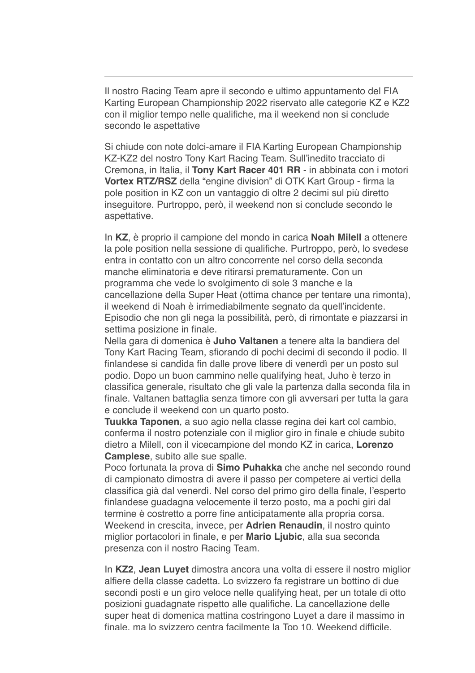Il nostro Racing Team apre il secondo e ultimo appuntamento del FIA Karting European Championship 2022 riservato alle categorie KZ e KZ2 con il miglior tempo nelle qualifiche, ma il weekend non si conclude secondo le aspettative

Si chiude con note dolci-amare il FIA Karting European Championship KZ-KZ2 del nostro Tony Kart Racing Team. Sull'inedito tracciato di Cremona, in Italia, il **Tony Kart Racer 401 RR** - in abbinata con i motori **Vortex RTZ/RSZ** della "engine division" di OTK Kart Group - firma la pole position in KZ con un vantaggio di oltre 2 decimi sul più diretto inseguitore. Purtroppo, però, il weekend non si conclude secondo le aspettative.

In **KZ**, è proprio il campione del mondo in carica **Noah Milell** a ottenere la pole position nella sessione di qualifiche. Purtroppo, però, lo svedese entra in contatto con un altro concorrente nel corso della seconda manche eliminatoria e deve ritirarsi prematuramente. Con un programma che vede lo svolgimento di sole 3 manche e la cancellazione della Super Heat (ottima chance per tentare una rimonta), il weekend di Noah è irrimediabilmente segnato da quell'incidente. Episodio che non gli nega la possibilità, però, di rimontate e piazzarsi in settima posizione in finale.

Nella gara di domenica è **Juho Valtanen** a tenere alta la bandiera del Tony Kart Racing Team, sfiorando di pochi decimi di secondo il podio. Il finlandese si candida fin dalle prove libere di venerdì per un posto sul podio. Dopo un buon cammino nelle qualifying heat, Juho è terzo in classifica generale, risultato che gli vale la partenza dalla seconda fila in finale. Valtanen battaglia senza timore con gli avversari per tutta la gara e conclude il weekend con un quarto posto.

**Tuukka Taponen**, a suo agio nella classe regina dei kart col cambio, conferma il nostro potenziale con il miglior giro in finale e chiude subito dietro a Milell, con il vicecampione del mondo KZ in carica, **Lorenzo Camplese**, subito alle sue spalle.

Poco fortunata la prova di **Simo Puhakka** che anche nel secondo round di campionato dimostra di avere il passo per competere ai vertici della classifica già dal venerdì. Nel corso del primo giro della finale, l'esperto finlandese guadagna velocemente il terzo posto, ma a pochi giri dal termine è costretto a porre fine anticipatamente alla propria corsa. Weekend in crescita, invece, per **Adrien Renaudin**, il nostro quinto miglior portacolori in finale, e per **Mario Ljubic**, alla sua seconda presenza con il nostro Racing Team.

In **KZ2**, **Jean Luyet** dimostra ancora una volta di essere il nostro miglior alfiere della classe cadetta. Lo svizzero fa registrare un bottino di due secondi posti e un giro veloce nelle qualifying heat, per un totale di otto posizioni guadagnate rispetto alle qualifiche. La cancellazione delle super heat di domenica mattina costringono Luyet a dare il massimo in finale, ma lo svizzero centra facilmente la Top 10. Weekend difficile,